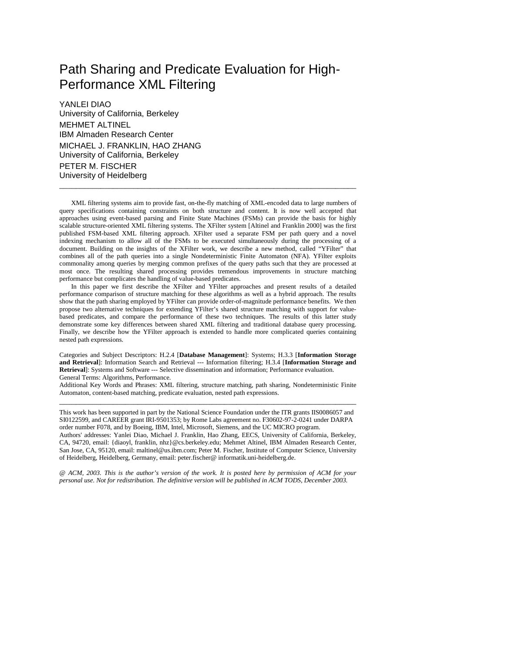# Path Sharing and Predicate Evaluation for High-Performance XML Filtering

YANLEI DIAO University of California, Berkeley MEHMET ALTINEL IBM Almaden Research Center MICHAEL J. FRANKLIN, HAO ZHANG University of California, Berkeley PETER M. FISCHER University of Heidelberg

XML filtering systems aim to provide fast, on-the-fly matching of XML-encoded data to large numbers of query specifications containing constraints on both structure and content. It is now well accepted that approaches using event-based parsing and Finite State Machines (FSMs) can provide the basis for highly scalable structure-oriented XML filtering systems. The XFilter system [Altinel and Franklin 2000] was the first published FSM-based XML filtering approach. XFilter used a separate FSM per path query and a novel indexing mechanism to allow all of the FSMs to be executed simultaneously during the processing of a document. Building on the insights of the XFilter work, we describe a new method, called "YFilter" that combines all of the path queries into a single Nondeterministic Finite Automaton (NFA). YFilter exploits commonality among queries by merging common prefixes of the query paths such that they are processed at most once. The resulting shared processing provides tremendous improvements in structure matching performance but complicates the handling of value-based predicates.

\_\_\_\_\_\_\_\_\_\_\_\_\_\_\_\_\_\_\_\_\_\_\_\_\_\_\_\_\_\_\_\_\_\_\_\_\_\_\_\_\_\_\_\_\_\_\_\_\_\_\_\_\_\_\_\_\_\_\_\_\_\_\_\_\_\_\_\_\_\_\_\_

In this paper we first describe the XFilter and YFilter approaches and present results of a detailed performance comparison of structure matching for these algorithms as well as a hybrid approach. The results show that the path sharing employed by YFilter can provide order-of-magnitude performance benefits. We then propose two alternative techniques for extending YFilter's shared structure matching with support for valuebased predicates, and compare the performance of these two techniques. The results of this latter study demonstrate some key differences between shared XML filtering and traditional database query processing. Finally, we describe how the YFilter approach is extended to handle more complicated queries containing nested path expressions.

Categories and Subject Descriptors: H.2.4 [**Database Management**]: Systems; H.3.3 [**Information Storage and Retrieval**]: Information Search and Retrieval --- Information filtering; H.3.4 [**Information Storage and Retrieval**]: Systems and Software --- Selective dissemination and information; Performance evaluation. General Terms: Algorithms, Performance.

Additional Key Words and Phrases: XML filtering, structure matching, path sharing, Nondeterministic Finite Automaton*,* content-based matching, predicate evaluation, nested path expressions. \_\_\_\_\_\_\_\_\_\_\_\_\_\_\_\_\_\_\_\_\_\_\_\_\_\_\_\_\_\_\_\_\_\_\_\_\_\_\_\_\_\_\_\_\_\_\_\_\_\_\_\_\_\_\_\_\_\_\_\_\_\_\_\_\_\_\_\_\_\_\_\_

This work has been supported in part by the National Science Foundation under the ITR grants IIS0086057 and SI0122599, and CAREER grant IRI-9501353; by Rome Labs agreement no. F30602-97-2-0241 under DARPA order number F078, and by Boeing, IBM, Intel, Microsoft, Siemens, and the UC MICRO program. Authors' addresses: Yanlei Diao, Michael J. Franklin, Hao Zhang, EECS, University of California, Berkeley, CA, 94720, email: {diaoyl, franklin, nhz}@cs.berkeley.edu; Mehmet Altinel, IBM Almaden Research Center, San Jose, CA, 95120, email: maltinel@us.ibm.com; Peter M. Fischer, Institute of Computer Science, University of Heidelberg, Heidelberg, Germany, email: peter.fischer@ informatik.uni-heidelberg.de.

*@ ACM, 2003. This is the author's version of the work. It is posted here by permission of ACM for your personal use. Not for redistribution. The definitive version will be published in ACM TODS, December 2003.*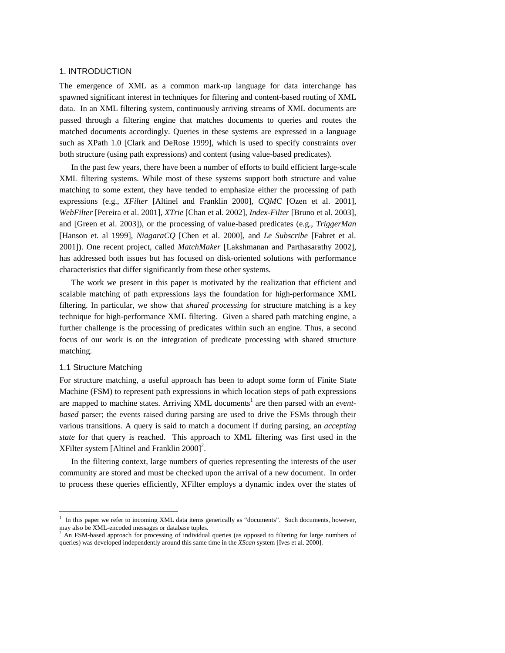#### 1. INTRODUCTION

The emergence of XML as a common mark-up language for data interchange has spawned significant interest in techniques for filtering and content-based routing of XML data. In an XML filtering system, continuously arriving streams of XML documents are passed through a filtering engine that matches documents to queries and routes the matched documents accordingly. Queries in these systems are expressed in a language such as XPath 1.0 [Clark and DeRose 1999], which is used to specify constraints over both structure (using path expressions) and content (using value-based predicates).

In the past few years, there have been a number of efforts to build efficient large-scale XML filtering systems. While most of these systems support both structure and value matching to some extent, they have tended to emphasize either the processing of path expressions (e.g., *XFilter* [Altinel and Franklin 2000], *CQMC* [Ozen et al. 2001], *WebFilter* [Pereira et al. 2001], *XTrie* [Chan et al. 2002], *Index-Filter* [Bruno et al. 2003], and [Green et al. 2003]), or the processing of value-based predicates (e.g., *TriggerMan* [Hanson et. al 1999], *NiagaraCQ* [Chen et al. 2000], and *Le Subscribe* [Fabret et al. 2001]). One recent project, called *MatchMaker* [Lakshmanan and Parthasarathy 2002], has addressed both issues but has focused on disk-oriented solutions with performance characteristics that differ significantly from these other systems.

The work we present in this paper is motivated by the realization that efficient and scalable matching of path expressions lays the foundation for high-performance XML filtering. In particular, we show that *shared processing* for structure matching is a key technique for high-performance XML filtering. Given a shared path matching engine, a further challenge is the processing of predicates within such an engine. Thus, a second focus of our work is on the integration of predicate processing with shared structure matching.

#### 1.1 Structure Matching

 $\overline{a}$ 

For structure matching, a useful approach has been to adopt some form of Finite State Machine (FSM) to represent path expressions in which location steps of path expressions are mapped to machine states. Arriving XML documents<sup>1</sup> are then parsed with an *eventbased* parser; the events raised during parsing are used to drive the FSMs through their various transitions. A query is said to match a document if during parsing, an *accepting state* for that query is reached. This approach to XML filtering was first used in the XFilter system [Altinel and Franklin  $2000$ ]<sup>2</sup>.

In the filtering context, large numbers of queries representing the interests of the user community are stored and must be checked upon the arrival of a new document. In order to process these queries efficiently, XFilter employs a dynamic index over the states of

<sup>&</sup>lt;sup>1</sup> In this paper we refer to incoming XML data items generically as "documents". Such documents, however,

may also be XML-encoded messages or database tuples. 2 An FSM-based approach for processing of individual queries (as opposed to filtering for large numbers of queries) was developed independently around this same time in the *XScan* system [Ives et al. 2000].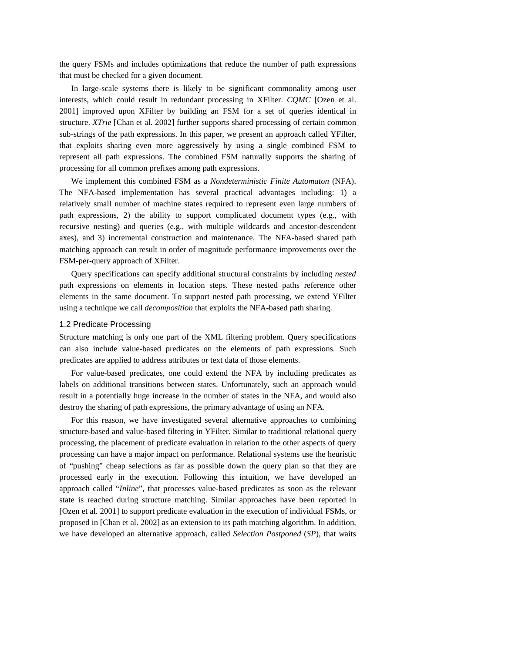the query FSMs and includes optimizations that reduce the number of path expressions that must be checked for a given document.

In large-scale systems there is likely to be significant commonality among user interests, which could result in redundant processing in XFilter. *CQMC* [Ozen et al. 2001] improved upon XFilter by building an FSM for a set of queries identical in structure. *XTrie* [Chan et al. 2002] further supports shared processing of certain common sub-strings of the path expressions. In this paper, we present an approach called YFilter, that exploits sharing even more aggressively by using a single combined FSM to represent all path expressions. The combined FSM naturally supports the sharing of processing for all common prefixes among path expressions.

We implement this combined FSM as a *Nondeterministic Finite Automaton* (NFA). The NFA-based implementation has several practical advantages including: 1) a relatively small number of machine states required to represent even large numbers of path expressions, 2) the ability to support complicated document types (e.g., with recursive nesting) and queries (e.g., with multiple wildcards and ancestor-descendent axes), and 3) incremental construction and maintenance. The NFA-based shared path matching approach can result in order of magnitude performance improvements over the FSM-per-query approach of XFilter.

Query specifications can specify additional structural constraints by including *nested* path expressions on elements in location steps. These nested paths reference other elements in the same document. To support nested path processing, we extend YFilter using a technique we call *decomposition* that exploits the NFA-based path sharing.

#### 1.2 Predicate Processing

Structure matching is only one part of the XML filtering problem. Query specifications can also include value-based predicates on the elements of path expressions. Such predicates are applied to address attributes or text data of those elements.

For value-based predicates, one could extend the NFA by including predicates as labels on additional transitions between states. Unfortunately, such an approach would result in a potentially huge increase in the number of states in the NFA, and would also destroy the sharing of path expressions, the primary advantage of using an NFA.

For this reason, we have investigated several alternative approaches to combining structure-based and value-based filtering in YFilter. Similar to traditional relational query processing, the placement of predicate evaluation in relation to the other aspects of query processing can have a major impact on performance. Relational systems use the heuristic of "pushing" cheap selections as far as possible down the query plan so that they are processed early in the execution. Following this intuition, we have developed an approach called "*Inline*", that processes value-based predicates as soon as the relevant state is reached during structure matching. Similar approaches have been reported in [Ozen et al. 2001] to support predicate evaluation in the execution of individual FSMs, or proposed in [Chan et al. 2002] as an extension to its path matching algorithm. In addition, we have developed an alternative approach, called *Selection Postponed* (*SP*), that waits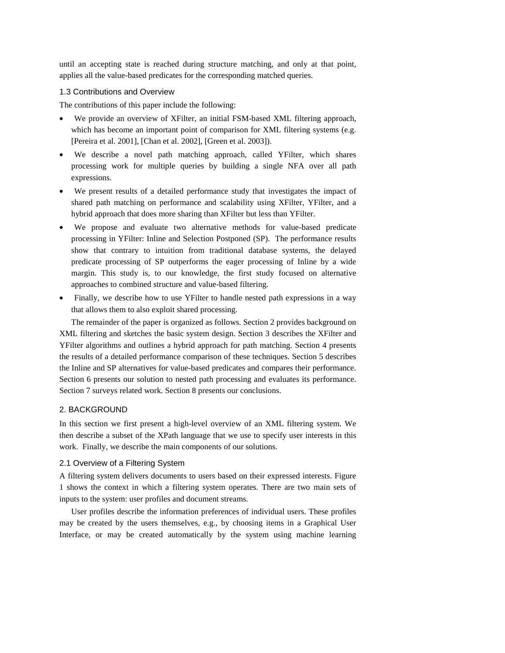until an accepting state is reached during structure matching, and only at that point, applies all the value-based predicates for the corresponding matched queries.

## 1.3 Contributions and Overview

The contributions of this paper include the following:

- We provide an overview of XFilter, an initial FSM-based XML filtering approach, which has become an important point of comparison for XML filtering systems (e.g. [Pereira et al. 2001], [Chan et al. 2002], [Green et al. 2003]).
- We describe a novel path matching approach, called YFilter, which shares processing work for multiple queries by building a single NFA over all path expressions.
- We present results of a detailed performance study that investigates the impact of shared path matching on performance and scalability using XFilter, YFilter, and a hybrid approach that does more sharing than XFilter but less than YFilter.
- We propose and evaluate two alternative methods for value-based predicate processing in YFilter: Inline and Selection Postponed (SP). The performance results show that contrary to intuition from traditional database systems, the delayed predicate processing of SP outperforms the eager processing of Inline by a wide margin. This study is, to our knowledge, the first study focused on alternative approaches to combined structure and value-based filtering.
- Finally, we describe how to use YFilter to handle nested path expressions in a way that allows them to also exploit shared processing.

The remainder of the paper is organized as follows. Section 2 provides background on XML filtering and sketches the basic system design. Section 3 describes the XFilter and YFilter algorithms and outlines a hybrid approach for path matching. Section 4 presents the results of a detailed performance comparison of these techniques. Section 5 describes the Inline and SP alternatives for value-based predicates and compares their performance. Section 6 presents our solution to nested path processing and evaluates its performance. Section 7 surveys related work. Section 8 presents our conclusions.

# 2. BACKGROUND

In this section we first present a high-level overview of an XML filtering system. We then describe a subset of the XPath language that we use to specify user interests in this work. Finally, we describe the main components of our solutions.

## 2.1 Overview of a Filtering System

A filtering system delivers documents to users based on their expressed interests. Figure 1 shows the context in which a filtering system operates. There are two main sets of inputs to the system: user profiles and document streams.

User profiles describe the information preferences of individual users. These profiles may be created by the users themselves, e.g., by choosing items in a Graphical User Interface, or may be created automatically by the system using machine learning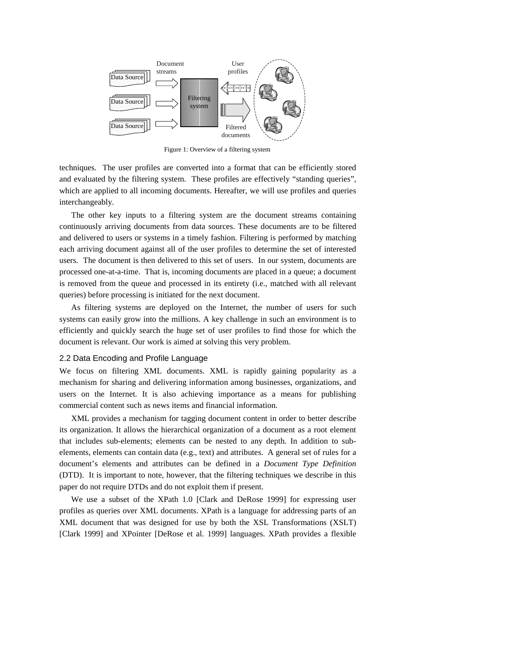

Figure 1: Overview of a filtering system

techniques. The user profiles are converted into a format that can be efficiently stored and evaluated by the filtering system. These profiles are effectively "standing queries", which are applied to all incoming documents. Hereafter, we will use profiles and queries interchangeably.

The other key inputs to a filtering system are the document streams containing continuously arriving documents from data sources. These documents are to be filtered and delivered to users or systems in a timely fashion. Filtering is performed by matching each arriving document against all of the user profiles to determine the set of interested users. The document is then delivered to this set of users. In our system, documents are processed one-at-a-time. That is, incoming documents are placed in a queue; a document is removed from the queue and processed in its entirety (i.e., matched with all relevant queries) before processing is initiated for the next document.

As filtering systems are deployed on the Internet, the number of users for such systems can easily grow into the millions. A key challenge in such an environment is to efficiently and quickly search the huge set of user profiles to find those for which the document is relevant. Our work is aimed at solving this very problem.

#### 2.2 Data Encoding and Profile Language

We focus on filtering XML documents. XML is rapidly gaining popularity as a mechanism for sharing and delivering information among businesses, organizations, and users on the Internet. It is also achieving importance as a means for publishing commercial content such as news items and financial information.

XML provides a mechanism for tagging document content in order to better describe its organization. It allows the hierarchical organization of a document as a root element that includes sub-elements; elements can be nested to any depth. In addition to subelements, elements can contain data (e.g., text) and attributes. A general set of rules for a document's elements and attributes can be defined in a *Document Type Definition* (DTD). It is important to note, however, that the filtering techniques we describe in this paper do not require DTDs and do not exploit them if present.

We use a subset of the XPath 1.0 [Clark and DeRose 1999] for expressing user profiles as queries over XML documents. XPath is a language for addressing parts of an XML document that was designed for use by both the XSL Transformations (XSLT) [Clark 1999] and XPointer [DeRose et al. 1999] languages. XPath provides a flexible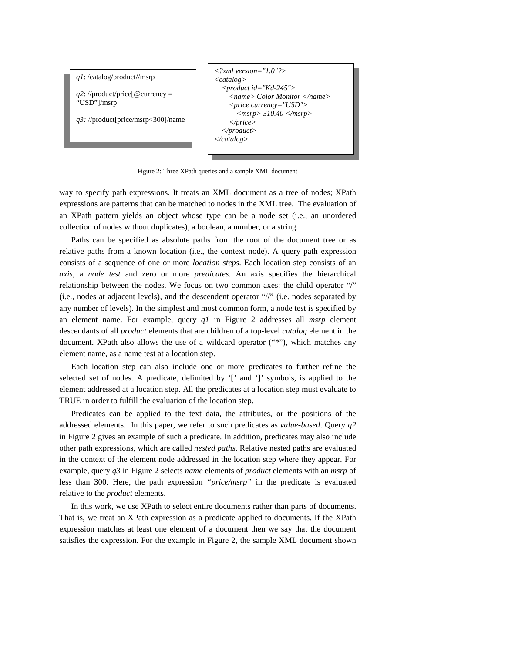*q1*: /catalog/product//msrp

*q2*: //product/price[@currency = "USD"]/msrp

*q3:* //product[price/msrp<300]/name

```
<?xml version="1.0"?> 
<catalog> 
   <product id="Kd-245"> 
     <name> Color Monitor </name> 
     <price currency="USD"> 
        <msrp> 310.40 </msrp> 
     </price> 
   </product> 
</catalog>
```
Figure 2: Three XPath queries and a sample XML document

way to specify path expressions. It treats an XML document as a tree of nodes; XPath expressions are patterns that can be matched to nodes in the XML tree. The evaluation of an XPath pattern yields an object whose type can be a node set (i.e., an unordered collection of nodes without duplicates), a boolean, a number, or a string.

Paths can be specified as absolute paths from the root of the document tree or as relative paths from a known location (i.e., the context node). A query path expression consists of a sequence of one or more *location steps*. Each location step consists of an *axis*, a *node test* and zero or more *predicates*. An axis specifies the hierarchical relationship between the nodes. We focus on two common axes: the child operator "/" (i.e., nodes at adjacent levels), and the descendent operator "//" (i.e. nodes separated by any number of levels). In the simplest and most common form, a node test is specified by an element name. For example, query *q1* in Figure 2 addresses all *msrp* element descendants of all *product* elements that are children of a top-level *catalog* element in the document. XPath also allows the use of a wildcard operator ("\*"), which matches any element name, as a name test at a location step.

Each location step can also include one or more predicate*s* to further refine the selected set of nodes. A predicate, delimited by '[' and ']' symbols, is applied to the element addressed at a location step. All the predicates at a location step must evaluate to TRUE in order to fulfill the evaluation of the location step.

Predicates can be applied to the text data, the attributes, or the positions of the addressed elements. In this paper, we refer to such predicates as *value-based*. Query *q2* in Figure 2 gives an example of such a predicate*.* In addition, predicates may also include other path expressions, which are called *nested paths*. Relative nested paths are evaluated in the context of the element node addressed in the location step where they appear. For example, query *q3* in Figure 2 selects *name* elements of *product* elements with an *msrp* of less than 300. Here, the path expression *"price/msrp"* in the predicate is evaluated relative to the *product* elements.

In this work, we use XPath to select entire documents rather than parts of documents. That is, we treat an XPath expression as a predicate applied to documents. If the XPath expression matches at least one element of a document then we say that the document satisfies the expression. For the example in Figure 2, the sample XML document shown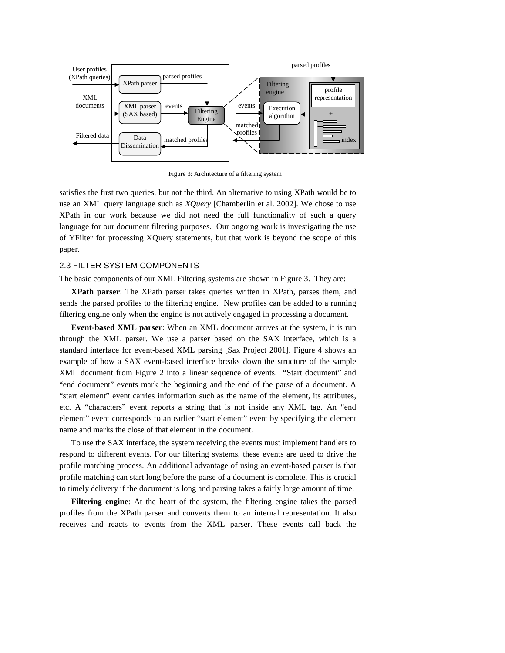

Figure 3: Architecture of a filtering system

satisfies the first two queries, but not the third. An alternative to using XPath would be to use an XML query language such as *XQuery* [Chamberlin et al. 2002]. We chose to use XPath in our work because we did not need the full functionality of such a query language for our document filtering purposes. Our ongoing work is investigating the use of YFilter for processing XQuery statements, but that work is beyond the scope of this paper.

#### 2.3 FILTER SYSTEM COMPONENTS

The basic components of our XML Filtering systems are shown in Figure 3. They are:

**XPath parser**: The XPath parser takes queries written in XPath, parses them, and sends the parsed profiles to the filtering engine. New profiles can be added to a running filtering engine only when the engine is not actively engaged in processing a document.

**Event-based XML parser**: When an XML document arrives at the system, it is run through the XML parser. We use a parser based on the SAX interface, which is a standard interface for event-based XML parsing [Sax Project 2001]. Figure 4 shows an example of how a SAX event-based interface breaks down the structure of the sample XML document from Figure 2 into a linear sequence of events. "Start document" and "end document" events mark the beginning and the end of the parse of a document. A "start element" event carries information such as the name of the element, its attributes, etc. A "characters" event reports a string that is not inside any XML tag. An "end element" event corresponds to an earlier "start element" event by specifying the element name and marks the close of that element in the document.

To use the SAX interface, the system receiving the events must implement handlers to respond to different events. For our filtering systems, these events are used to drive the profile matching process. An additional advantage of using an event-based parser is that profile matching can start long before the parse of a document is complete. This is crucial to timely delivery if the document is long and parsing takes a fairly large amount of time.

**Filtering engine**: At the heart of the system, the filtering engine takes the parsed profiles from the XPath parser and converts them to an internal representation. It also receives and reacts to events from the XML parser. These events call back the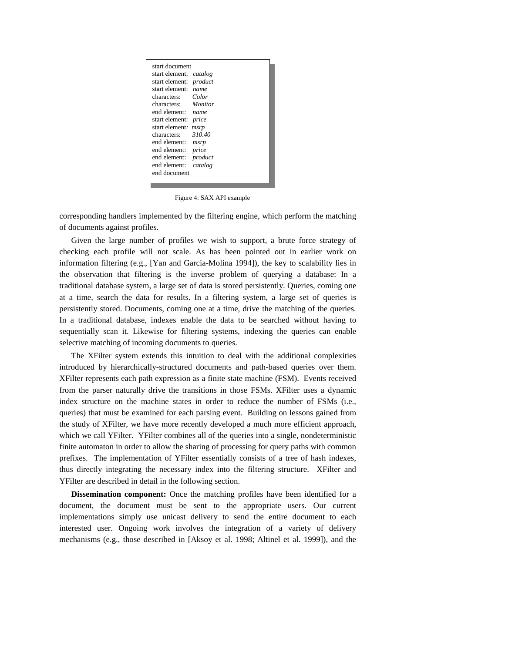| start document                |                |
|-------------------------------|----------------|
| start element: catalog        |                |
| start element: <i>product</i> |                |
| start element:                | name           |
| characters:                   | Color          |
| characters:                   | <i>Monitor</i> |
| end element:                  | name           |
| start element:                | price          |
| start element:                | msrp           |
| characters:                   | 310.40         |
| end element:                  | msrp           |
| end element:                  | price          |
| end element:                  | product        |
| end element:                  | catalog        |
| end document                  |                |
|                               |                |

Figure 4: SAX API example

corresponding handlers implemented by the filtering engine, which perform the matching of documents against profiles.

Given the large number of profiles we wish to support, a brute force strategy of checking each profile will not scale. As has been pointed out in earlier work on information filtering (e.g., [Yan and Garcia-Molina 1994]), the key to scalability lies in the observation that filtering is the inverse problem of querying a database: In a traditional database system, a large set of data is stored persistently. Queries, coming one at a time, search the data for results. In a filtering system, a large set of queries is persistently stored. Documents, coming one at a time, drive the matching of the queries. In a traditional database, indexes enable the data to be searched without having to sequentially scan it. Likewise for filtering systems, indexing the queries can enable selective matching of incoming documents to queries.

The XFilter system extends this intuition to deal with the additional complexities introduced by hierarchically-structured documents and path-based queries over them. XFilter represents each path expression as a finite state machine (FSM). Events received from the parser naturally drive the transitions in those FSMs. XFilter uses a dynamic index structure on the machine states in order to reduce the number of FSMs (i.e., queries) that must be examined for each parsing event. Building on lessons gained from the study of XFilter, we have more recently developed a much more efficient approach, which we call YFilter. YFilter combines all of the queries into a single, nondeterministic finite automaton in order to allow the sharing of processing for query paths with common prefixes. The implementation of YFilter essentially consists of a tree of hash indexes, thus directly integrating the necessary index into the filtering structure. XFilter and YFilter are described in detail in the following section.

**Dissemination component:** Once the matching profiles have been identified for a document, the document must be sent to the appropriate users. Our current implementations simply use unicast delivery to send the entire document to each interested user. Ongoing work involves the integration of a variety of delivery mechanisms (e.g., those described in [Aksoy et al. 1998; Altinel et al. 1999]), and the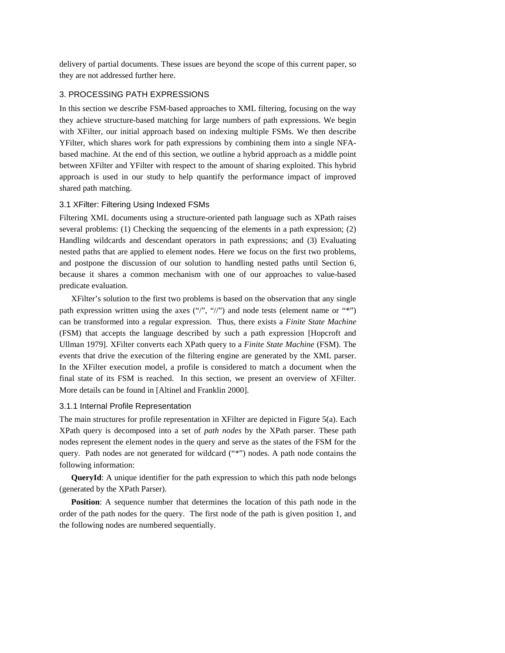delivery of partial documents. These issues are beyond the scope of this current paper, so they are not addressed further here.

## 3. PROCESSING PATH EXPRESSIONS

In this section we describe FSM-based approaches to XML filtering, focusing on the way they achieve structure-based matching for large numbers of path expressions. We begin with XFilter, our initial approach based on indexing multiple FSMs. We then describe YFilter, which shares work for path expressions by combining them into a single NFAbased machine. At the end of this section, we outline a hybrid approach as a middle point between XFilter and YFilter with respect to the amount of sharing exploited. This hybrid approach is used in our study to help quantify the performance impact of improved shared path matching.

# 3.1 XFilter: Filtering Using Indexed FSMs

Filtering XML documents using a structure-oriented path language such as XPath raises several problems: (1) Checking the sequencing of the elements in a path expression; (2) Handling wildcards and descendant operators in path expressions; and (3) Evaluating nested paths that are applied to element nodes. Here we focus on the first two problems, and postpone the discussion of our solution to handling nested paths until Section 6, because it shares a common mechanism with one of our approaches to value-based predicate evaluation.

XFilter's solution to the first two problems is based on the observation that any single path expression written using the axes  $($ "/", "//") and node tests (element name or "\*") can be transformed into a regular expression. Thus, there exists a *Finite State Machine* (FSM) that accepts the language described by such a path expression [Hopcroft and Ullman 1979]. XFilter converts each XPath query to a *Finite State Machine* (FSM). The events that drive the execution of the filtering engine are generated by the XML parser. In the XFilter execution model, a profile is considered to match a document when the final state of its FSM is reached. In this section, we present an overview of XFilter. More details can be found in [Altinel and Franklin 2000].

#### 3.1.1 Internal Profile Representation

The main structures for profile representation in XFilter are depicted in Figure 5(a). Each XPath query is decomposed into a set of *path nodes* by the XPath parser. These path nodes represent the element nodes in the query and serve as the states of the FSM for the query. Path nodes are not generated for wildcard ("\*") nodes. A path node contains the following information:

**QueryId**: A unique identifier for the path expression to which this path node belongs (generated by the XPath Parser).

**Position**: A sequence number that determines the location of this path node in the order of the path nodes for the query. The first node of the path is given position 1, and the following nodes are numbered sequentially.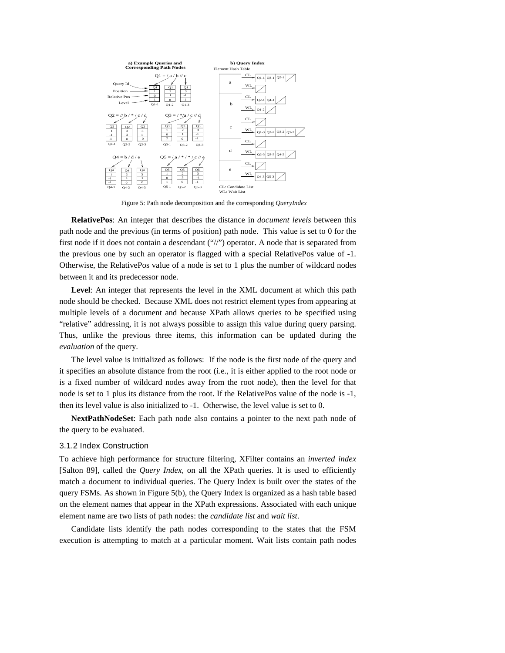

Figure 5: Path node decomposition and the corresponding *QueryIndex*

**RelativePos**: An integer that describes the distance in *document levels* between this path node and the previous (in terms of position) path node. This value is set to 0 for the first node if it does not contain a descendant ("//") operator. A node that is separated from the previous one by such an operator is flagged with a special RelativePos value of -1. Otherwise, the RelativePos value of a node is set to 1 plus the number of wildcard nodes between it and its predecessor node.

**Level**: An integer that represents the level in the XML document at which this path node should be checked. Because XML does not restrict element types from appearing at multiple levels of a document and because XPath allows queries to be specified using "relative" addressing, it is not always possible to assign this value during query parsing. Thus, unlike the previous three items, this information can be updated during the *evaluation* of the query.

The level value is initialized as follows: If the node is the first node of the query and it specifies an absolute distance from the root (i.e., it is either applied to the root node or is a fixed number of wildcard nodes away from the root node), then the level for that node is set to 1 plus its distance from the root. If the RelativePos value of the node is -1, then its level value is also initialized to -1. Otherwise, the level value is set to 0.

**NextPathNodeSet**: Each path node also contains a pointer to the next path node of the query to be evaluated.

#### 3.1.2 Index Construction

To achieve high performance for structure filtering, XFilter contains an *inverted index* [Salton 89], called the *Query Index*, on all the XPath queries. It is used to efficiently match a document to individual queries. The Query Index is built over the states of the query FSMs. As shown in Figure 5(b), the Query Index is organized as a hash table based on the element names that appear in the XPath expressions. Associated with each unique element name are two lists of path nodes: the *candidate list* and *wait list*.

Candidate lists identify the path nodes corresponding to the states that the FSM execution is attempting to match at a particular moment. Wait lists contain path nodes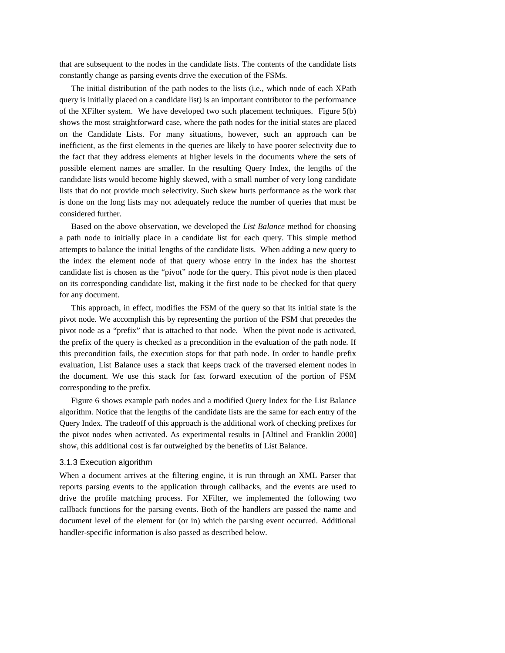that are subsequent to the nodes in the candidate lists. The contents of the candidate lists constantly change as parsing events drive the execution of the FSMs.

The initial distribution of the path nodes to the lists (i.e., which node of each XPath query is initially placed on a candidate list) is an important contributor to the performance of the XFilter system. We have developed two such placement techniques. Figure 5(b) shows the most straightforward case, where the path nodes for the initial states are placed on the Candidate Lists. For many situations, however, such an approach can be inefficient, as the first elements in the queries are likely to have poorer selectivity due to the fact that they address elements at higher levels in the documents where the sets of possible element names are smaller. In the resulting Query Index, the lengths of the candidate lists would become highly skewed, with a small number of very long candidate lists that do not provide much selectivity. Such skew hurts performance as the work that is done on the long lists may not adequately reduce the number of queries that must be considered further.

Based on the above observation, we developed the *List Balance* method for choosing a path node to initially place in a candidate list for each query. This simple method attempts to balance the initial lengths of the candidate lists. When adding a new query to the index the element node of that query whose entry in the index has the shortest candidate list is chosen as the "pivot" node for the query. This pivot node is then placed on its corresponding candidate list, making it the first node to be checked for that query for any document.

This approach, in effect, modifies the FSM of the query so that its initial state is the pivot node. We accomplish this by representing the portion of the FSM that precedes the pivot node as a "prefix" that is attached to that node. When the pivot node is activated, the prefix of the query is checked as a precondition in the evaluation of the path node. If this precondition fails, the execution stops for that path node. In order to handle prefix evaluation, List Balance uses a stack that keeps track of the traversed element nodes in the document. We use this stack for fast forward execution of the portion of FSM corresponding to the prefix.

Figure 6 shows example path nodes and a modified Query Index for the List Balance algorithm. Notice that the lengths of the candidate lists are the same for each entry of the Query Index. The tradeoff of this approach is the additional work of checking prefixes for the pivot nodes when activated. As experimental results in [Altinel and Franklin 2000] show, this additional cost is far outweighed by the benefits of List Balance.

## 3.1.3 Execution algorithm

When a document arrives at the filtering engine, it is run through an XML Parser that reports parsing events to the application through callbacks, and the events are used to drive the profile matching process. For XFilter, we implemented the following two callback functions for the parsing events. Both of the handlers are passed the name and document level of the element for (or in) which the parsing event occurred. Additional handler-specific information is also passed as described below.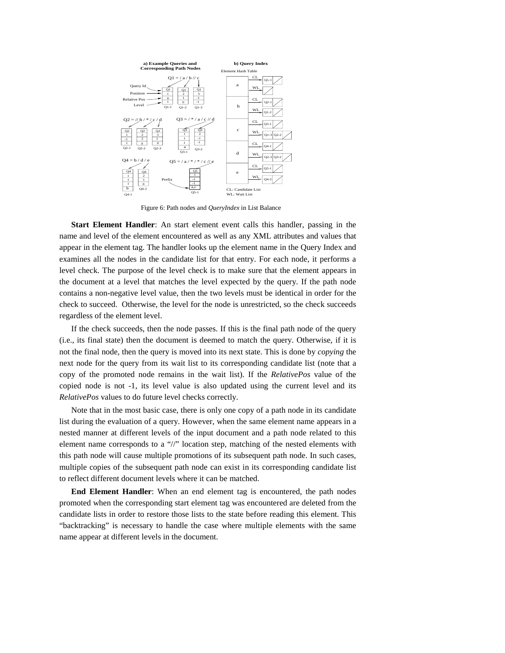

Figure 6: Path nodes and *QueryIndex* in List Balance

**Start Element Handler**: An start element event calls this handler, passing in the name and level of the element encountered as well as any XML attributes and values that appear in the element tag. The handler looks up the element name in the Query Index and examines all the nodes in the candidate list for that entry. For each node, it performs a level check. The purpose of the level check is to make sure that the element appears in the document at a level that matches the level expected by the query. If the path node contains a non-negative level value, then the two levels must be identical in order for the check to succeed. Otherwise, the level for the node is unrestricted, so the check succeeds regardless of the element level.

If the check succeeds, then the node passes. If this is the final path node of the query (i.e., its final state) then the document is deemed to match the query. Otherwise, if it is not the final node, then the query is moved into its next state. This is done by *copying* the next node for the query from its wait list to its corresponding candidate list (note that a copy of the promoted node remains in the wait list). If the *RelativePos* value of the copied node is not -1, its level value is also updated using the current level and its *RelativePos* values to do future level checks correctly.

Note that in the most basic case, there is only one copy of a path node in its candidate list during the evaluation of a query. However, when the same element name appears in a nested manner at different levels of the input document and a path node related to this element name corresponds to a "//" location step, matching of the nested elements with this path node will cause multiple promotions of its subsequent path node. In such cases, multiple copies of the subsequent path node can exist in its corresponding candidate list to reflect different document levels where it can be matched.

**End Element Handler**: When an end element tag is encountered, the path nodes promoted when the corresponding start element tag was encountered are deleted from the candidate lists in order to restore those lists to the state before reading this element. This "backtracking" is necessary to handle the case where multiple elements with the same name appear at different levels in the document.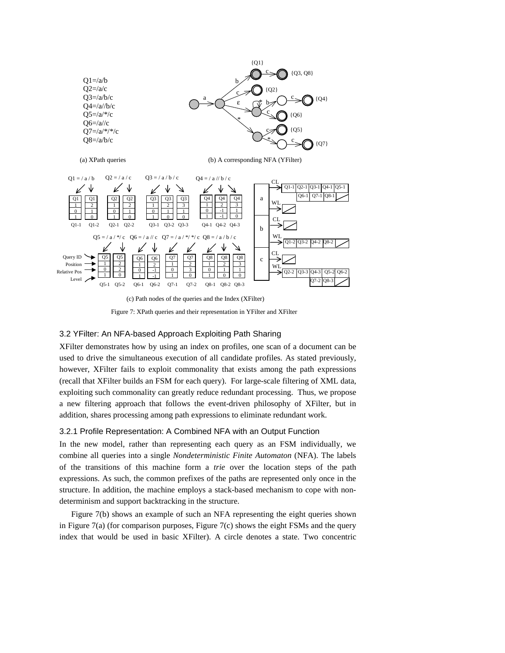

Figure 7: XPath queries and their representation in YFilter and XFilter

## 3.2 YFilter: An NFA-based Approach Exploiting Path Sharing

XFilter demonstrates how by using an index on profiles, one scan of a document can be used to drive the simultaneous execution of all candidate profiles. As stated previously, however, XFilter fails to exploit commonality that exists among the path expressions (recall that XFilter builds an FSM for each query). For large-scale filtering of XML data, exploiting such commonality can greatly reduce redundant processing. Thus, we propose a new filtering approach that follows the event-driven philosophy of XFilter, but in addition, shares processing among path expressions to eliminate redundant work.

## 3.2.1 Profile Representation: A Combined NFA with an Output Function

In the new model, rather than representing each query as an FSM individually, we combine all queries into a single *Nondeterministic Finite Automaton* (NFA). The labels of the transitions of this machine form a *trie* over the location steps of the path expressions. As such, the common prefixes of the paths are represented only once in the structure. In addition, the machine employs a stack-based mechanism to cope with nondeterminism and support backtracking in the structure.

Figure 7(b) shows an example of such an NFA representing the eight queries shown in Figure 7(a) (for comparison purposes, Figure 7(c) shows the eight FSMs and the query index that would be used in basic XFilter). A circle denotes a state. Two concentric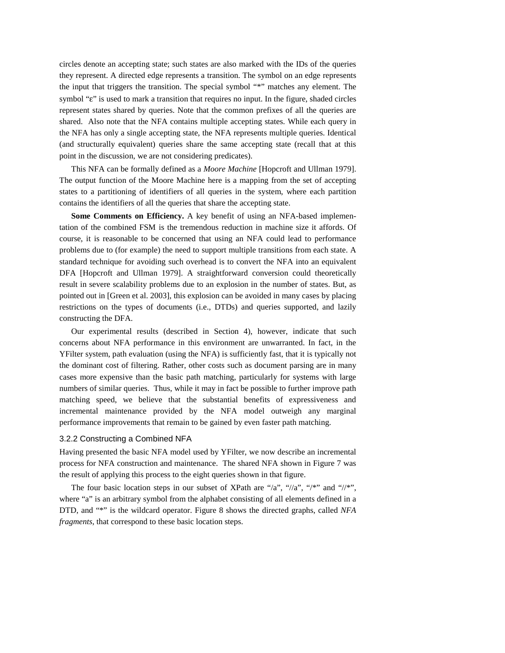circles denote an accepting state; such states are also marked with the IDs of the queries they represent. A directed edge represents a transition. The symbol on an edge represents the input that triggers the transition. The special symbol "\*" matches any element. The symbol "ε" is used to mark a transition that requires no input. In the figure, shaded circles represent states shared by queries. Note that the common prefixes of all the queries are shared. Also note that the NFA contains multiple accepting states. While each query in the NFA has only a single accepting state, the NFA represents multiple queries. Identical (and structurally equivalent) queries share the same accepting state (recall that at this point in the discussion, we are not considering predicates).

This NFA can be formally defined as a *Moore Machine* [Hopcroft and Ullman 1979]. The output function of the Moore Machine here is a mapping from the set of accepting states to a partitioning of identifiers of all queries in the system, where each partition contains the identifiers of all the queries that share the accepting state.

**Some Comments on Efficiency.** A key benefit of using an NFA-based implementation of the combined FSM is the tremendous reduction in machine size it affords. Of course, it is reasonable to be concerned that using an NFA could lead to performance problems due to (for example) the need to support multiple transitions from each state. A standard technique for avoiding such overhead is to convert the NFA into an equivalent DFA [Hopcroft and Ullman 1979]. A straightforward conversion could theoretically result in severe scalability problems due to an explosion in the number of states. But, as pointed out in [Green et al. 2003], this explosion can be avoided in many cases by placing restrictions on the types of documents (i.e., DTDs) and queries supported, and lazily constructing the DFA.

Our experimental results (described in Section 4), however, indicate that such concerns about NFA performance in this environment are unwarranted. In fact, in the YFilter system, path evaluation (using the NFA) is sufficiently fast, that it is typically not the dominant cost of filtering. Rather, other costs such as document parsing are in many cases more expensive than the basic path matching, particularly for systems with large numbers of similar queries. Thus, while it may in fact be possible to further improve path matching speed, we believe that the substantial benefits of expressiveness and incremental maintenance provided by the NFA model outweigh any marginal performance improvements that remain to be gained by even faster path matching.

#### 3.2.2 Constructing a Combined NFA

Having presented the basic NFA model used by YFilter, we now describe an incremental process for NFA construction and maintenance. The shared NFA shown in Figure 7 was the result of applying this process to the eight queries shown in that figure.

The four basic location steps in our subset of XPath are "/a", "//a", "/\*" and "//\*". where "a" is an arbitrary symbol from the alphabet consisting of all elements defined in a DTD, and "\*" is the wildcard operator. Figure 8 shows the directed graphs, called *NFA fragments*, that correspond to these basic location steps.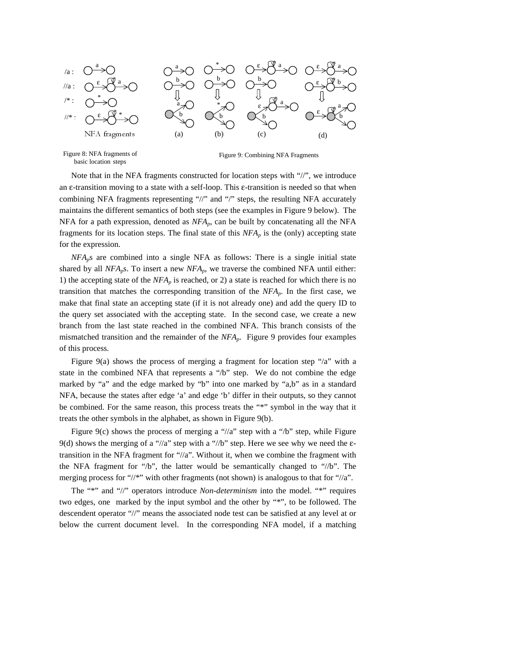



Figure 9: Combining NFA Fragments

Note that in the NFA fragments constructed for location steps with "//", we introduce an  $\varepsilon$ -transition moving to a state with a self-loop. This  $\varepsilon$ -transition is needed so that when combining NFA fragments representing "//" and "/" steps, the resulting NFA accurately maintains the different semantics of both steps (see the examples in Figure 9 below). The NFA for a path expression, denoted as  $NFA_p$ , can be built by concatenating all the NFA fragments for its location steps. The final state of this  $NFA_p$  is the (only) accepting state for the expression.

*NFAp*s are combined into a single NFA as follows: There is a single initial state shared by all  $NFA$ <sub>p</sub>s. To insert a new  $NFA$ <sub>p</sub>, we traverse the combined NFA until either: 1) the accepting state of the  $NFA_p$  is reached, or 2) a state is reached for which there is no transition that matches the corresponding transition of the *NFAp*. In the first case, we make that final state an accepting state (if it is not already one) and add the query ID to the query set associated with the accepting state. In the second case, we create a new branch from the last state reached in the combined NFA. This branch consists of the mismatched transition and the remainder of the *NFAp*. Figure 9 provides four examples of this process.

Figure 9(a) shows the process of merging a fragment for location step "/a" with a state in the combined NFA that represents a "/b" step. We do not combine the edge marked by "a" and the edge marked by "b" into one marked by "a,b" as in a standard NFA, because the states after edge 'a' and edge 'b' differ in their outputs, so they cannot be combined. For the same reason, this process treats the "\*" symbol in the way that it treats the other symbols in the alphabet, as shown in Figure 9(b).

Figure 9(c) shows the process of merging a "//a" step with a "/b" step, while Figure 9(d) shows the merging of a "//a" step with a "//b" step. Here we see why we need the  $\varepsilon$ transition in the NFA fragment for "//a". Without it, when we combine the fragment with the NFA fragment for "/b", the latter would be semantically changed to "//b". The merging process for "//\*" with other fragments (not shown) is analogous to that for "//a".

The "\*" and "//" operators introduce *Non-determinism* into the model. "\*" requires two edges, one marked by the input symbol and the other by "\*", to be followed. The descendent operator "//" means the associated node test can be satisfied at any level at or below the current document level. In the corresponding NFA model, if a matching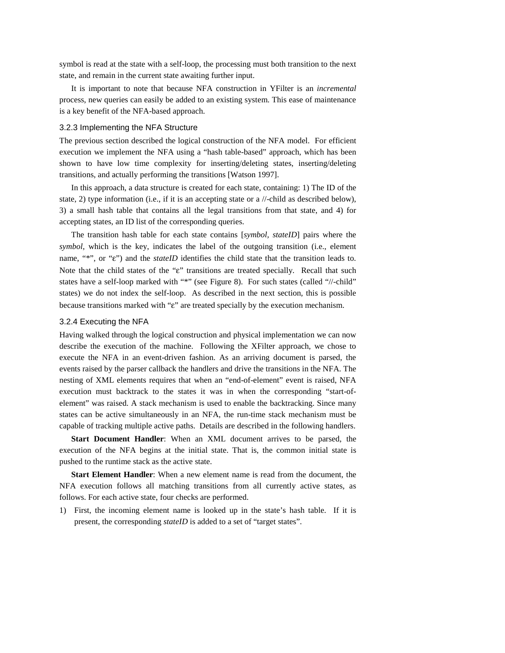symbol is read at the state with a self-loop, the processing must both transition to the next state, and remain in the current state awaiting further input.

It is important to note that because NFA construction in YFilter is an *incremental* process, new queries can easily be added to an existing system. This ease of maintenance is a key benefit of the NFA-based approach.

#### 3.2.3 Implementing the NFA Structure

The previous section described the logical construction of the NFA model. For efficient execution we implement the NFA using a "hash table-based" approach, which has been shown to have low time complexity for inserting/deleting states, inserting/deleting transitions, and actually performing the transitions [Watson 1997].

In this approach, a data structure is created for each state, containing: 1) The ID of the state, 2) type information (i.e., if it is an accepting state or a  $\ell$ -child as described below), 3) a small hash table that contains all the legal transitions from that state, and 4) for accepting states, an ID list of the corresponding queries.

The transition hash table for each state contains [*symbol, stateID*] pairs where the *symbol*, which is the key, indicates the label of the outgoing transition (i.e., element name, "\*", or "ε") and the *stateID* identifies the child state that the transition leads to. Note that the child states of the "ε" transitions are treated specially. Recall that such states have a self-loop marked with "\*" (see Figure 8). For such states (called "//-child" states) we do not index the self-loop. As described in the next section, this is possible because transitions marked with "ε" are treated specially by the execution mechanism.

#### 3.2.4 Executing the NFA

Having walked through the logical construction and physical implementation we can now describe the execution of the machine. Following the XFilter approach, we chose to execute the NFA in an event-driven fashion. As an arriving document is parsed, the events raised by the parser callback the handlers and drive the transitions in the NFA. The nesting of XML elements requires that when an "end-of-element" event is raised, NFA execution must backtrack to the states it was in when the corresponding "start-ofelement" was raised. A stack mechanism is used to enable the backtracking. Since many states can be active simultaneously in an NFA, the run-time stack mechanism must be capable of tracking multiple active paths. Details are described in the following handlers.

**Start Document Handler**: When an XML document arrives to be parsed, the execution of the NFA begins at the initial state. That is, the common initial state is pushed to the runtime stack as the active state.

**Start Element Handler**: When a new element name is read from the document, the NFA execution follows all matching transitions from all currently active states, as follows. For each active state, four checks are performed.

1) First, the incoming element name is looked up in the state's hash table. If it is present, the corresponding *stateID* is added to a set of "target states".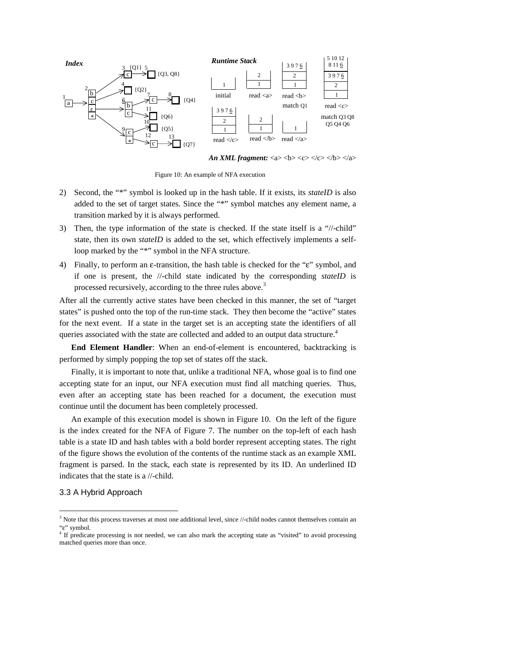

*An XML fragment:*  $$   $<$  $<$  $<$  $$ 

Figure 10: An example of NFA execution

- 2) Second, the "\*" symbol is looked up in the hash table. If it exists, its *stateID* is also added to the set of target states. Since the "\*" symbol matches any element name, a transition marked by it is always performed.
- 3) Then, the type information of the state is checked. If the state itself is a "//-child" state, then its own *stateID* is added to the set, which effectively implements a selfloop marked by the "\*" symbol in the NFA structure.
- 4) Finally, to perform an ε-transition, the hash table is checked for the "ε" symbol, and if one is present, the //-child state indicated by the corresponding *stateID* is processed recursively, according to the three rules above.<sup>3</sup>

After all the currently active states have been checked in this manner, the set of "target states" is pushed onto the top of the run-time stack. They then become the "active" states for the next event. If a state in the target set is an accepting state the identifiers of all queries associated with the state are collected and added to an output data structure.<sup>4</sup>

**End Element Handler**: When an end-of-element is encountered, backtracking is performed by simply popping the top set of states off the stack.

Finally, it is important to note that, unlike a traditional NFA, whose goal is to find one accepting state for an input, our NFA execution must find all matching queries. Thus, even after an accepting state has been reached for a document, the execution must continue until the document has been completely processed.

An example of this execution model is shown in Figure 10. On the left of the figure is the index created for the NFA of Figure 7. The number on the top-left of each hash table is a state ID and hash tables with a bold border represent accepting states. The right of the figure shows the evolution of the contents of the runtime stack as an example XML fragment is parsed. In the stack, each state is represented by its ID. An underlined ID indicates that the state is a //-child.

## 3.3 A Hybrid Approach

 $\overline{a}$ 

<sup>&</sup>lt;sup>3</sup> Note that this process traverses at most one additional level, since //-child nodes cannot themselves contain an "<sup>ε</sup>" symbol. 4 If predicate processing is not needed, we can also mark the accepting state as "visited" to avoid processing

matched queries more than once.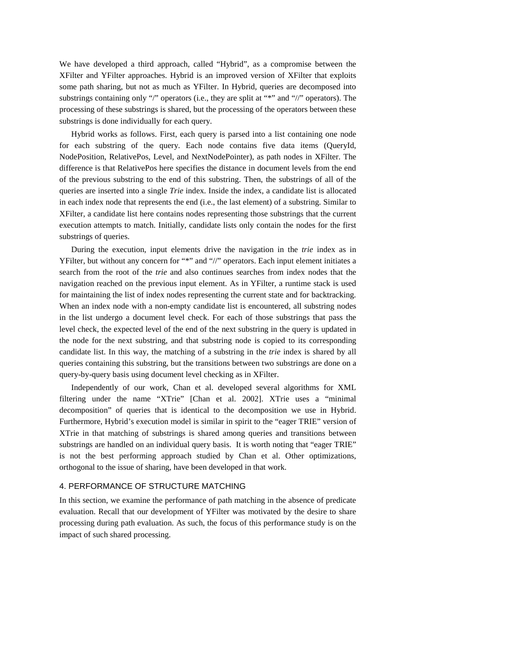We have developed a third approach, called "Hybrid", as a compromise between the XFilter and YFilter approaches. Hybrid is an improved version of XFilter that exploits some path sharing, but not as much as YFilter. In Hybrid, queries are decomposed into substrings containing only "/" operators (i.e., they are split at "\*" and "//" operators). The processing of these substrings is shared, but the processing of the operators between these substrings is done individually for each query.

Hybrid works as follows. First, each query is parsed into a list containing one node for each substring of the query. Each node contains five data items (QueryId, NodePosition, RelativePos, Level, and NextNodePointer), as path nodes in XFilter. The difference is that RelativePos here specifies the distance in document levels from the end of the previous substring to the end of this substring. Then, the substrings of all of the queries are inserted into a single *Trie* index. Inside the index, a candidate list is allocated in each index node that represents the end (i.e., the last element) of a substring. Similar to XFilter, a candidate list here contains nodes representing those substrings that the current execution attempts to match. Initially, candidate lists only contain the nodes for the first substrings of queries.

During the execution, input elements drive the navigation in the *trie* index as in YFilter, but without any concern for "\*" and "//" operators. Each input element initiates a search from the root of the *trie* and also continues searches from index nodes that the navigation reached on the previous input element. As in YFilter, a runtime stack is used for maintaining the list of index nodes representing the current state and for backtracking. When an index node with a non-empty candidate list is encountered, all substring nodes in the list undergo a document level check. For each of those substrings that pass the level check, the expected level of the end of the next substring in the query is updated in the node for the next substring, and that substring node is copied to its corresponding candidate list. In this way, the matching of a substring in the *trie* index is shared by all queries containing this substring, but the transitions between two substrings are done on a query-by-query basis using document level checking as in XFilter.

Independently of our work, Chan et al. developed several algorithms for XML filtering under the name "XTrie" [Chan et al. 2002]. XTrie uses a "minimal decomposition" of queries that is identical to the decomposition we use in Hybrid. Furthermore, Hybrid's execution model is similar in spirit to the "eager TRIE" version of XTrie in that matching of substrings is shared among queries and transitions between substrings are handled on an individual query basis. It is worth noting that "eager TRIE" is not the best performing approach studied by Chan et al. Other optimizations, orthogonal to the issue of sharing, have been developed in that work.

## 4. PERFORMANCE OF STRUCTURE MATCHING

In this section, we examine the performance of path matching in the absence of predicate evaluation. Recall that our development of YFilter was motivated by the desire to share processing during path evaluation. As such, the focus of this performance study is on the impact of such shared processing.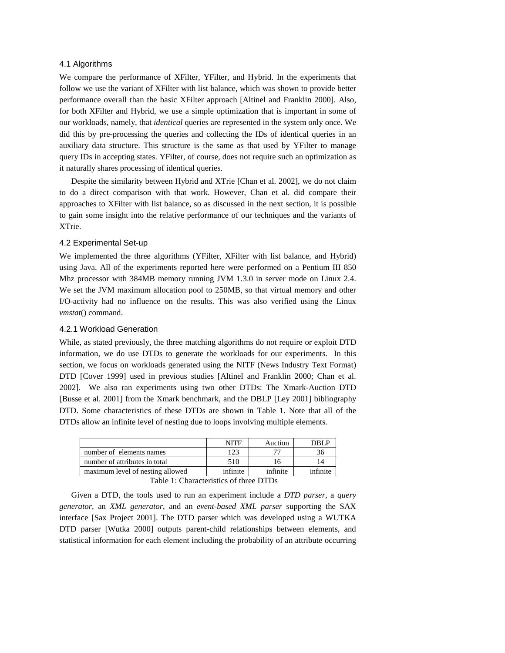# 4.1 Algorithms

We compare the performance of XFilter, YFilter, and Hybrid. In the experiments that follow we use the variant of XFilter with list balance, which was shown to provide better performance overall than the basic XFilter approach [Altinel and Franklin 2000]. Also, for both XFilter and Hybrid, we use a simple optimization that is important in some of our workloads, namely, that *identical* queries are represented in the system only once. We did this by pre-processing the queries and collecting the IDs of identical queries in an auxiliary data structure. This structure is the same as that used by YFilter to manage query IDs in accepting states. YFilter, of course, does not require such an optimization as it naturally shares processing of identical queries.

Despite the similarity between Hybrid and XTrie [Chan et al. 2002], we do not claim to do a direct comparison with that work. However, Chan et al. did compare their approaches to XFilter with list balance, so as discussed in the next section, it is possible to gain some insight into the relative performance of our techniques and the variants of XTrie.

## 4.2 Experimental Set-up

We implemented the three algorithms (YFilter, XFilter with list balance, and Hybrid) using Java. All of the experiments reported here were performed on a Pentium III 850 Mhz processor with 384MB memory running JVM 1.3.0 in server mode on Linux 2.4. We set the JVM maximum allocation pool to 250MB, so that virtual memory and other I/O-activity had no influence on the results. This was also verified using the Linux *vmstat*() command.

## 4.2.1 Workload Generation

While, as stated previously, the three matching algorithms do not require or exploit DTD information, we do use DTDs to generate the workloads for our experiments. In this section, we focus on workloads generated using the NITF (News Industry Text Format) DTD [Cover 1999] used in previous studies [Altinel and Franklin 2000; Chan et al. 2002]. We also ran experiments using two other DTDs: The Xmark-Auction DTD [Busse et al. 2001] from the Xmark benchmark, and the DBLP [Ley 2001] bibliography DTD. Some characteristics of these DTDs are shown in Table 1. Note that all of the DTDs allow an infinite level of nesting due to loops involving multiple elements.

|                                  | NITF     | Auction  | DRI P    |
|----------------------------------|----------|----------|----------|
| number of elements names         | 123      |          | 36       |
| number of attributes in total    | 510      | 16       |          |
| maximum level of nesting allowed | infinite | infinite | infinite |
| $T = 1147T$                      |          |          |          |

Table 1: Characteristics of three DTDs

Given a DTD, the tools used to run an experiment include a *DTD parser*, a *query generator,* an *XML generator*, and an *event-based XML parser* supporting the SAX interface [Sax Project 2001]. The DTD parser which was developed using a WUTKA DTD parser [Wutka 2000] outputs parent-child relationships between elements, and statistical information for each element including the probability of an attribute occurring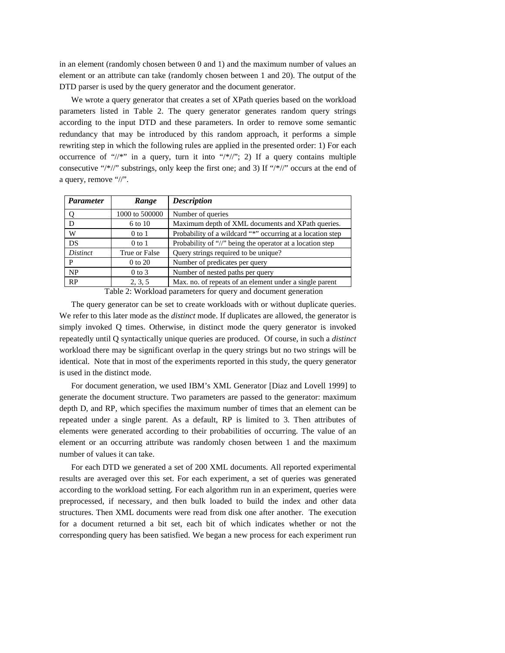in an element (randomly chosen between 0 and 1) and the maximum number of values an element or an attribute can take (randomly chosen between 1 and 20). The output of the DTD parser is used by the query generator and the document generator.

We wrote a query generator that creates a set of XPath queries based on the workload parameters listed in Table 2. The query generator generates random query strings according to the input DTD and these parameters. In order to remove some semantic redundancy that may be introduced by this random approach, it performs a simple rewriting step in which the following rules are applied in the presented order: 1) For each occurrence of "//\*" in a query, turn it into "/\*//"; 2) If a query contains multiple consecutive "/\*//" substrings, only keep the first one; and 3) If "/\*//" occurs at the end of a query, remove "//".

| Range          | <b>Description</b>                                         |
|----------------|------------------------------------------------------------|
| 1000 to 500000 | Number of queries                                          |
| 6 to 10        | Maximum depth of XML documents and XPath queries.          |
| $0$ to $1$     | Probability of a wildcard "*" occurring at a location step |
| $0$ to $1$     | Probability of "//" being the operator at a location step  |
| True or False  | Ouery strings required to be unique?                       |
| 0 to 20        | Number of predicates per query                             |
| $0$ to $3$     | Number of nested paths per query                           |
| 2, 3, 5        | Max. no. of repeats of an element under a single parent    |
|                |                                                            |

Table 2: Workload parameters for query and document generation

The query generator can be set to create workloads with or without duplicate queries. We refer to this later mode as the *distinct* mode. If duplicates are allowed, the generator is simply invoked Q times. Otherwise, in distinct mode the query generator is invoked repeatedly until Q syntactically unique queries are produced. Of course, in such a *distinct* workload there may be significant overlap in the query strings but no two strings will be identical. Note that in most of the experiments reported in this study, the query generator is used in the distinct mode.

For document generation, we used IBM's XML Generator [Diaz and Lovell 1999] to generate the document structure. Two parameters are passed to the generator: maximum depth D, and RP, which specifies the maximum number of times that an element can be repeated under a single parent. As a default, RP is limited to 3. Then attributes of elements were generated according to their probabilities of occurring. The value of an element or an occurring attribute was randomly chosen between 1 and the maximum number of values it can take.

For each DTD we generated a set of 200 XML documents. All reported experimental results are averaged over this set. For each experiment, a set of queries was generated according to the workload setting. For each algorithm run in an experiment, queries were preprocessed, if necessary, and then bulk loaded to build the index and other data structures. Then XML documents were read from disk one after another. The execution for a document returned a bit set, each bit of which indicates whether or not the corresponding query has been satisfied. We began a new process for each experiment run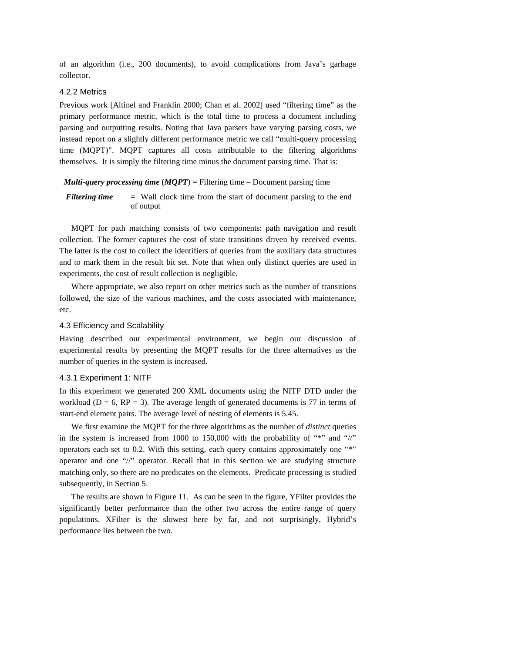of an algorithm (i.e., 200 documents), to avoid complications from Java's garbage collector.

## 4.2.2 Metrics

Previous work [Altinel and Franklin 2000; Chan et al. 2002] used "filtering time" as the primary performance metric, which is the total time to process a document including parsing and outputting results. Noting that Java parsers have varying parsing costs, we instead report on a slightly different performance metric we call "multi-query processing time (MQPT)". MQPT captures all costs attributable to the filtering algorithms themselves. It is simply the filtering time minus the document parsing time. That is:

#### *Multi-query processing time* (*MQPT*) = Filtering time – Document parsing time

*Filtering time* = Wall clock time from the start of document parsing to the end of output

MQPT for path matching consists of two components: path navigation and result collection. The former captures the cost of state transitions driven by received events. The latter is the cost to collect the identifiers of queries from the auxiliary data structures and to mark them in the result bit set. Note that when only distinct queries are used in experiments, the cost of result collection is negligible.

Where appropriate, we also report on other metrics such as the number of transitions followed, the size of the various machines, and the costs associated with maintenance, etc.

## 4.3 Efficiency and Scalability

Having described our experimental environment, we begin our discussion of experimental results by presenting the MQPT results for the three alternatives as the number of queries in the system is increased.

#### 4.3.1 Experiment 1: NITF

In this experiment we generated 200 XML documents using the NITF DTD under the workload ( $D = 6$ ,  $RP = 3$ ). The average length of generated documents is 77 in terms of start-end element pairs. The average level of nesting of elements is 5.45.

We first examine the MQPT for the three algorithms as the number of *distinct* queries in the system is increased from 1000 to 150,000 with the probability of "\*" and "//" operators each set to 0.2. With this setting, each query contains approximately one "\*" operator and one "//" operator. Recall that in this section we are studying structure matching only, so there are no predicates on the elements. Predicate processing is studied subsequently, in Section 5.

The results are shown in Figure 11. As can be seen in the figure, YFilter provides the significantly better performance than the other two across the entire range of query populations. XFilter is the slowest here by far, and not surprisingly, Hybrid's performance lies between the two.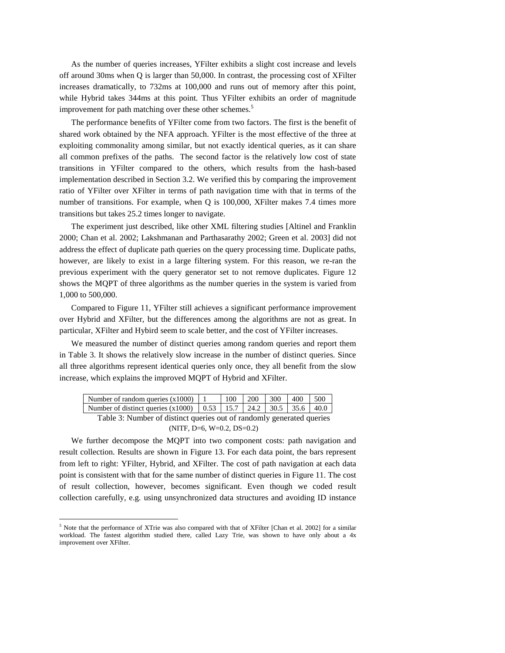As the number of queries increases, YFilter exhibits a slight cost increase and levels off around 30ms when Q is larger than 50,000. In contrast, the processing cost of XFilter increases dramatically, to 732ms at 100,000 and runs out of memory after this point, while Hybrid takes 344ms at this point. Thus YFilter exhibits an order of magnitude improvement for path matching over these other schemes.<sup>5</sup>

The performance benefits of YFilter come from two factors. The first is the benefit of shared work obtained by the NFA approach. YFilter is the most effective of the three at exploiting commonality among similar, but not exactly identical queries, as it can share all common prefixes of the paths. The second factor is the relatively low cost of state transitions in YFilter compared to the others, which results from the hash-based implementation described in Section 3.2. We verified this by comparing the improvement ratio of YFilter over XFilter in terms of path navigation time with that in terms of the number of transitions. For example, when Q is 100,000, XFilter makes 7.4 times more transitions but takes 25.2 times longer to navigate.

The experiment just described, like other XML filtering studies [Altinel and Franklin 2000; Chan et al. 2002; Lakshmanan and Parthasarathy 2002; Green et al. 2003] did not address the effect of duplicate path queries on the query processing time. Duplicate paths, however, are likely to exist in a large filtering system. For this reason, we re-ran the previous experiment with the query generator set to not remove duplicates. Figure 12 shows the MQPT of three algorithms as the number queries in the system is varied from 1,000 to 500,000.

Compared to Figure 11, YFilter still achieves a significant performance improvement over Hybrid and XFilter, but the differences among the algorithms are not as great. In particular, XFilter and Hybird seem to scale better, and the cost of YFilter increases.

We measured the number of distinct queries among random queries and report them in Table 3. It shows the relatively slow increase in the number of distinct queries. Since all three algorithms represent identical queries only once, they all benefit from the slow increase, which explains the improved MQPT of Hybrid and XFilter.

| Number of random queries $(x1000)$   1                                       |  |  |  |  | $100$   200   300   400   500 |  |
|------------------------------------------------------------------------------|--|--|--|--|-------------------------------|--|
| Number of distinct queries (x1000)   0.53   15.7   24.2   30.5   35.6   40.0 |  |  |  |  |                               |  |
| Table 3: Number of distinct queries out of randomly generated queries        |  |  |  |  |                               |  |

(NITF, D=6, W=0.2, DS=0.2)

We further decompose the MQPT into two component costs: path navigation and result collection. Results are shown in Figure 13. For each data point, the bars represent from left to right: YFilter, Hybrid, and XFilter. The cost of path navigation at each data point is consistent with that for the same number of distinct queries in Figure 11. The cost of result collection, however, becomes significant. Even though we coded result collection carefully, e.g. using unsynchronized data structures and avoiding ID instance

 $\overline{a}$ 

<sup>&</sup>lt;sup>5</sup> Note that the performance of XTrie was also compared with that of XFilter [Chan et al. 2002] for a similar workload. The fastest algorithm studied there, called Lazy Trie, was shown to have only about a 4x improvement over XFilter.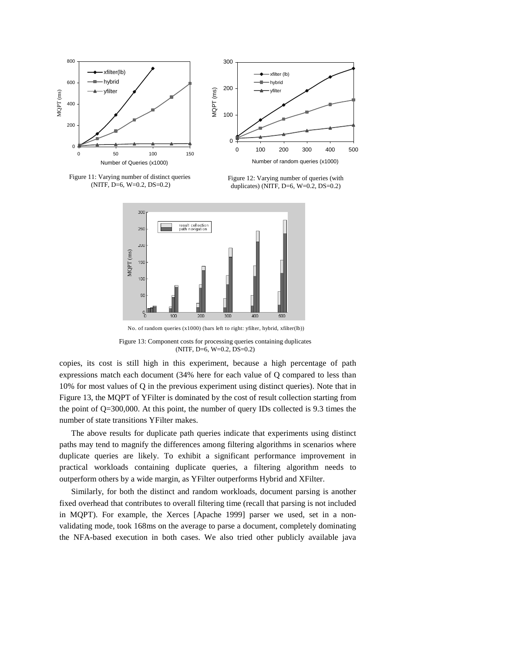



Figure 11: Varying number of distinct queries (NITF, D=6, W=0.2, DS=0.2)

Figure 12: Varying number of queries (with duplicates) (NITF, D=6, W=0.2, DS=0.2)



No. of random queries (x1000) (bars left to right: yfilter, hybrid, xfilter(lb)) Figure 13: Component costs for processing queries containing duplicates (NITF, D=6, W=0.2, DS=0.2)

copies, its cost is still high in this experiment, because a high percentage of path expressions match each document (34% here for each value of Q compared to less than 10% for most values of Q in the previous experiment using distinct queries). Note that in Figure 13, the MQPT of YFilter is dominated by the cost of result collection starting from the point of Q=300,000. At this point, the number of query IDs collected is 9.3 times the number of state transitions YFilter makes.

The above results for duplicate path queries indicate that experiments using distinct paths may tend to magnify the differences among filtering algorithms in scenarios where duplicate queries are likely. To exhibit a significant performance improvement in practical workloads containing duplicate queries, a filtering algorithm needs to outperform others by a wide margin, as YFilter outperforms Hybrid and XFilter.

Similarly, for both the distinct and random workloads, document parsing is another fixed overhead that contributes to overall filtering time (recall that parsing is not included in MQPT). For example, the Xerces [Apache 1999] parser we used, set in a nonvalidating mode, took 168ms on the average to parse a document, completely dominating the NFA-based execution in both cases. We also tried other publicly available java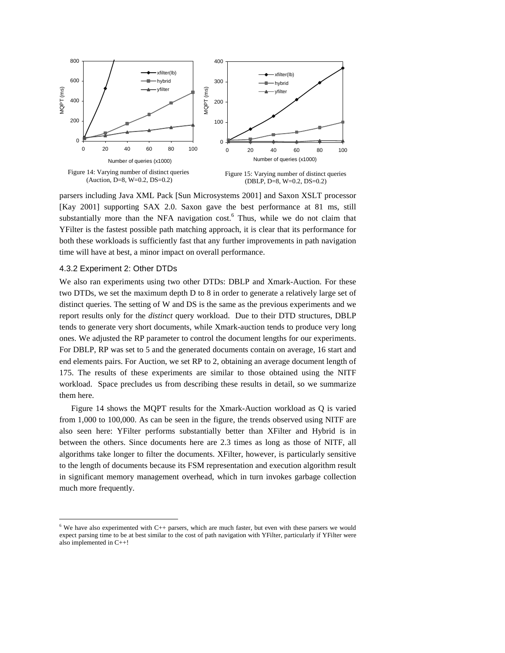

parsers including Java XML Pack [Sun Microsystems 2001] and Saxon XSLT processor [Kay 2001] supporting SAX 2.0. Saxon gave the best performance at 81 ms, still substantially more than the NFA navigation  $cost<sup>6</sup>$  Thus, while we do not claim that YFilter is the fastest possible path matching approach, it is clear that its performance for both these workloads is sufficiently fast that any further improvements in path navigation time will have at best, a minor impact on overall performance.

## 4.3.2 Experiment 2: Other DTDs

 $\overline{a}$ 

We also ran experiments using two other DTDs: DBLP and Xmark-Auction. For these two DTDs, we set the maximum depth D to 8 in order to generate a relatively large set of distinct queries. The setting of W and DS is the same as the previous experiments and we report results only for the *distinct* query workload. Due to their DTD structures, DBLP tends to generate very short documents, while Xmark-auction tends to produce very long ones. We adjusted the RP parameter to control the document lengths for our experiments. For DBLP, RP was set to 5 and the generated documents contain on average, 16 start and end elements pairs. For Auction, we set RP to 2, obtaining an average document length of 175. The results of these experiments are similar to those obtained using the NITF workload. Space precludes us from describing these results in detail, so we summarize them here.

Figure 14 shows the MQPT results for the Xmark-Auction workload as Q is varied from 1,000 to 100,000. As can be seen in the figure, the trends observed using NITF are also seen here: YFilter performs substantially better than XFilter and Hybrid is in between the others. Since documents here are 2.3 times as long as those of NITF, all algorithms take longer to filter the documents. XFilter, however, is particularly sensitive to the length of documents because its FSM representation and execution algorithm result in significant memory management overhead, which in turn invokes garbage collection much more frequently.

 $6$  We have also experimented with C++ parsers, which are much faster, but even with these parsers we would expect parsing time to be at best similar to the cost of path navigation with YFilter, particularly if YFilter were also implemented in C++!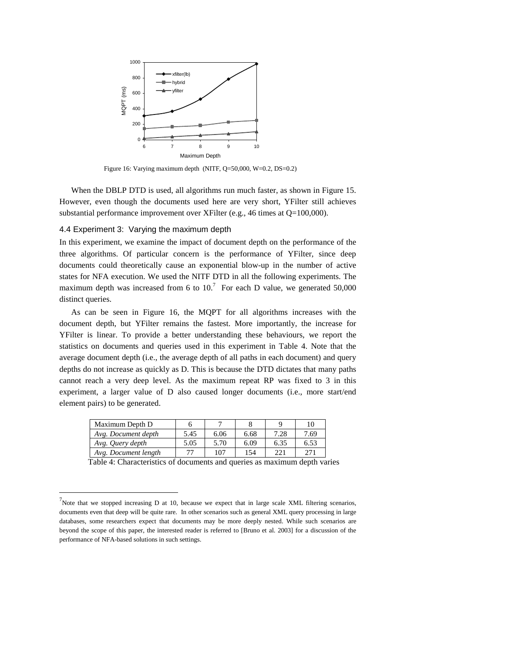

Figure 16: Varying maximum depth (NITF, Q=50,000, W=0.2, DS=0.2)

When the DBLP DTD is used, all algorithms run much faster, as shown in Figure 15. However, even though the documents used here are very short, YFilter still achieves substantial performance improvement over XFilter (e.g., 46 times at Q=100,000).

#### 4.4 Experiment 3: Varying the maximum depth

 $\overline{a}$ 

In this experiment, we examine the impact of document depth on the performance of the three algorithms. Of particular concern is the performance of YFilter, since deep documents could theoretically cause an exponential blow-up in the number of active states for NFA execution. We used the NITF DTD in all the following experiments. The maximum depth was increased from 6 to  $10<sup>7</sup>$  For each D value, we generated 50,000 distinct queries.

As can be seen in Figure 16, the MQPT for all algorithms increases with the document depth, but YFilter remains the fastest. More importantly, the increase for YFilter is linear. To provide a better understanding these behaviours, we report the statistics on documents and queries used in this experiment in Table 4. Note that the average document depth (i.e., the average depth of all paths in each document) and query depths do not increase as quickly as D. This is because the DTD dictates that many paths cannot reach a very deep level. As the maximum repeat RP was fixed to 3 in this experiment, a larger value of D also caused longer documents (i.e., more start/end element pairs) to be generated.

| Maximum Depth D      |      |      |      |      |      |
|----------------------|------|------|------|------|------|
| Avg. Document depth  | 5.45 | 6.06 | 6.68 | 7.28 | 7.69 |
| Avg. Query depth     | 5.05 | 5.70 | 6.09 | 6.35 | 6.53 |
| Avg. Document length | 77   | 107  | 154  | 22.1 |      |

Table 4: Characteristics of documents and queries as maximum depth varies

Note that we stopped increasing D at 10, because we expect that in large scale XML filtering scenarios, documents even that deep will be quite rare. In other scenarios such as general XML query processing in large databases, some researchers expect that documents may be more deeply nested. While such scenarios are beyond the scope of this paper, the interested reader is referred to [Bruno et al. 2003] for a discussion of the performance of NFA-based solutions in such settings.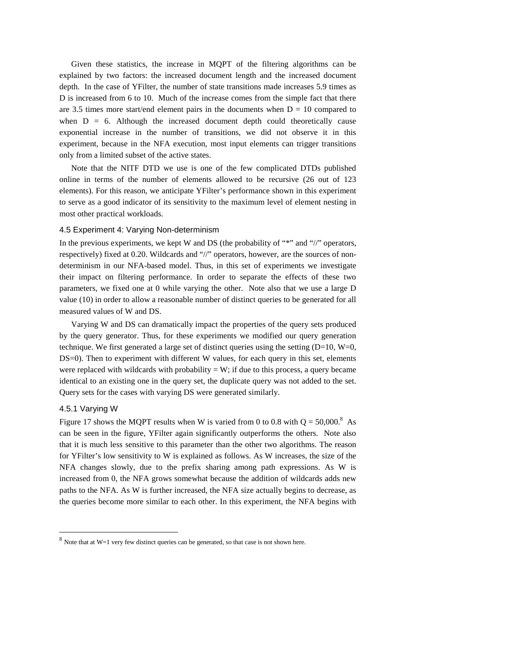Given these statistics, the increase in MQPT of the filtering algorithms can be explained by two factors: the increased document length and the increased document depth. In the case of YFilter, the number of state transitions made increases 5.9 times as D is increased from 6 to 10. Much of the increase comes from the simple fact that there are 3.5 times more start/end element pairs in the documents when  $D = 10$  compared to when  $D = 6$ . Although the increased document depth could theoretically cause exponential increase in the number of transitions, we did not observe it in this experiment, because in the NFA execution, most input elements can trigger transitions only from a limited subset of the active states.

Note that the NITF DTD we use is one of the few complicated DTDs published online in terms of the number of elements allowed to be recursive (26 out of 123 elements). For this reason, we anticipate YFilter's performance shown in this experiment to serve as a good indicator of its sensitivity to the maximum level of element nesting in most other practical workloads.

## 4.5 Experiment 4: Varying Non-determinism

In the previous experiments, we kept W and DS (the probability of "\*" and "//" operators, respectively) fixed at 0.20. Wildcards and "//" operators, however, are the sources of nondeterminism in our NFA-based model. Thus, in this set of experiments we investigate their impact on filtering performance. In order to separate the effects of these two parameters, we fixed one at 0 while varying the other. Note also that we use a large D value (10) in order to allow a reasonable number of distinct queries to be generated for all measured values of W and DS.

Varying W and DS can dramatically impact the properties of the query sets produced by the query generator. Thus, for these experiments we modified our query generation technique. We first generated a large set of distinct queries using the setting  $(D=10, W=0,$ DS=0). Then to experiment with different W values, for each query in this set, elements were replaced with wildcards with probability  $= W$ ; if due to this process, a query became identical to an existing one in the query set, the duplicate query was not added to the set. Query sets for the cases with varying DS were generated similarly.

## 4.5.1 Varying W

 $\overline{a}$ 

Figure 17 shows the MQPT results when W is varied from 0 to 0.8 with  $Q = 50,000$ .<sup>8</sup> As can be seen in the figure, YFilter again significantly outperforms the others. Note also that it is much less sensitive to this parameter than the other two algorithms. The reason for YFilter's low sensitivity to W is explained as follows. As W increases, the size of the NFA changes slowly, due to the prefix sharing among path expressions. As W is increased from 0, the NFA grows somewhat because the addition of wildcards adds new paths to the NFA. As W is further increased, the NFA size actually begins to decrease, as the queries become more similar to each other. In this experiment, the NFA begins with

<sup>8</sup> Note that at W=1 very few distinct queries can be generated, so that case is not shown here.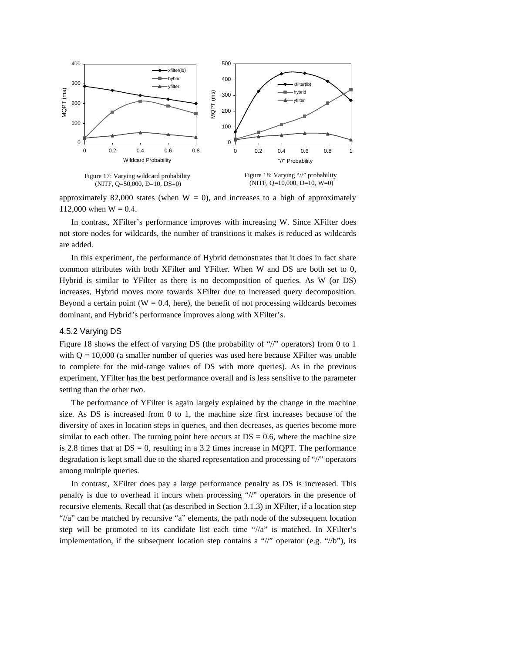

approximately 82,000 states (when  $W = 0$ ), and increases to a high of approximately 112,000 when  $W = 0.4$ .

In contrast, XFilter's performance improves with increasing W. Since XFilter does not store nodes for wildcards, the number of transitions it makes is reduced as wildcards are added.

In this experiment, the performance of Hybrid demonstrates that it does in fact share common attributes with both XFilter and YFilter. When W and DS are both set to 0, Hybrid is similar to YFilter as there is no decomposition of queries. As W (or DS) increases, Hybrid moves more towards XFilter due to increased query decomposition. Beyond a certain point ( $W = 0.4$ , here), the benefit of not processing wildcards becomes dominant, and Hybrid's performance improves along with XFilter's.

## 4.5.2 Varying DS

Figure 18 shows the effect of varying DS (the probability of "//" operators) from 0 to 1 with  $Q = 10,000$  (a smaller number of queries was used here because XFilter was unable to complete for the mid-range values of DS with more queries). As in the previous experiment, YFilter has the best performance overall and is less sensitive to the parameter setting than the other two.

The performance of YFilter is again largely explained by the change in the machine size. As DS is increased from 0 to 1, the machine size first increases because of the diversity of axes in location steps in queries, and then decreases, as queries become more similar to each other. The turning point here occurs at  $DS = 0.6$ , where the machine size is 2.8 times that at  $DS = 0$ , resulting in a 3.2 times increase in MQPT. The performance degradation is kept small due to the shared representation and processing of "//" operators among multiple queries.

In contrast, XFilter does pay a large performance penalty as DS is increased. This penalty is due to overhead it incurs when processing "//" operators in the presence of recursive elements. Recall that (as described in Section 3.1.3) in XFilter, if a location step "//a" can be matched by recursive "a" elements, the path node of the subsequent location step will be promoted to its candidate list each time "//a" is matched. In XFilter's implementation, if the subsequent location step contains a "//" operator (e.g.  $\frac{\'}{ }$ /b"), its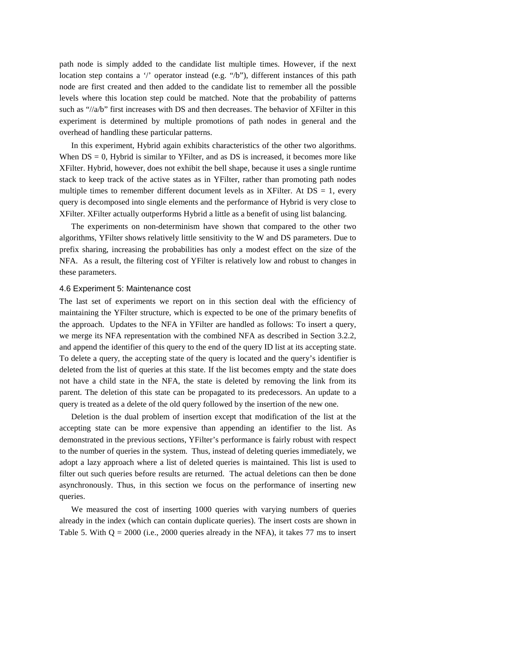path node is simply added to the candidate list multiple times. However, if the next location step contains a '/' operator instead (e.g. "/b"), different instances of this path node are first created and then added to the candidate list to remember all the possible levels where this location step could be matched. Note that the probability of patterns such as "//a/b" first increases with DS and then decreases. The behavior of XFilter in this experiment is determined by multiple promotions of path nodes in general and the overhead of handling these particular patterns.

In this experiment, Hybrid again exhibits characteristics of the other two algorithms. When  $DS = 0$ , Hybrid is similar to YFilter, and as DS is increased, it becomes more like XFilter. Hybrid, however, does not exhibit the bell shape, because it uses a single runtime stack to keep track of the active states as in YFilter, rather than promoting path nodes multiple times to remember different document levels as in XFilter. At  $DS = 1$ , every query is decomposed into single elements and the performance of Hybrid is very close to XFilter. XFilter actually outperforms Hybrid a little as a benefit of using list balancing.

The experiments on non-determinism have shown that compared to the other two algorithms, YFilter shows relatively little sensitivity to the W and DS parameters. Due to prefix sharing, increasing the probabilities has only a modest effect on the size of the NFA. As a result, the filtering cost of YFilter is relatively low and robust to changes in these parameters.

#### 4.6 Experiment 5: Maintenance cost

The last set of experiments we report on in this section deal with the efficiency of maintaining the YFilter structure, which is expected to be one of the primary benefits of the approach. Updates to the NFA in YFilter are handled as follows: To insert a query, we merge its NFA representation with the combined NFA as described in Section 3.2.2, and append the identifier of this query to the end of the query ID list at its accepting state. To delete a query, the accepting state of the query is located and the query's identifier is deleted from the list of queries at this state. If the list becomes empty and the state does not have a child state in the NFA, the state is deleted by removing the link from its parent. The deletion of this state can be propagated to its predecessors. An update to a query is treated as a delete of the old query followed by the insertion of the new one.

Deletion is the dual problem of insertion except that modification of the list at the accepting state can be more expensive than appending an identifier to the list. As demonstrated in the previous sections, YFilter's performance is fairly robust with respect to the number of queries in the system. Thus, instead of deleting queries immediately, we adopt a lazy approach where a list of deleted queries is maintained. This list is used to filter out such queries before results are returned. The actual deletions can then be done asynchronously. Thus, in this section we focus on the performance of inserting new queries.

We measured the cost of inserting 1000 queries with varying numbers of queries already in the index (which can contain duplicate queries). The insert costs are shown in Table 5. With  $Q = 2000$  (i.e., 2000 queries already in the NFA), it takes 77 ms to insert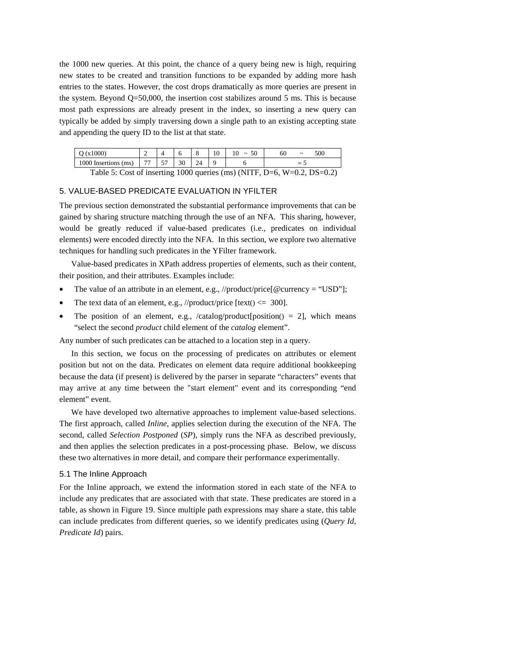the 1000 new queries. At this point, the chance of a query being new is high, requiring new states to be created and transition functions to be expanded by adding more hash entries to the states. However, the cost drops dramatically as more queries are present in the system. Beyond Q=50,000, the insertion cost stabilizes around 5 ms. This is because most path expressions are already present in the index, so inserting a new query can typically be added by simply traversing down a single path to an existing accepting state and appending the query ID to the list at that state.

| O(x1000)                                                                                      |  |  |  |  | 10 | $10 \approx 50$ | $\tilde{}$ | 500. |
|-----------------------------------------------------------------------------------------------|--|--|--|--|----|-----------------|------------|------|
| 1000 Insertions (ms) $\begin{array}{ c c c c c c } \hline 77 & 57 & 30 \\ \hline \end{array}$ |  |  |  |  |    |                 | ≈ົ         |      |
| Table 5: Cost of inserting 1000 queries (ms) (NITF, $D=6$ , $W=0.2$ , $DS=0.2$ )              |  |  |  |  |    |                 |            |      |

## 5. VALUE-BASED PREDICATE EVALUATION IN YFILTER

The previous section demonstrated the substantial performance improvements that can be gained by sharing structure matching through the use of an NFA. This sharing, however, would be greatly reduced if value-based predicates (i.e., predicates on individual elements) were encoded directly into the NFA. In this section, we explore two alternative techniques for handling such predicates in the YFilter framework.

Value-based predicates in XPath address properties of elements, such as their content, their position, and their attributes. Examples include:

- The value of an attribute in an element, e.g., //product/price[@currency = "USD"];
- The text data of an element, e.g., //product/price [text()  $\leq$  300].
- The position of an element, e.g., /catalog/product[position() = 2], which means "select the second *product* child element of the *catalog* element".

Any number of such predicates can be attached to a location step in a query.

In this section, we focus on the processing of predicates on attributes or element position but not on the data. Predicates on element data require additional bookkeeping because the data (if present) is delivered by the parser in separate "characters" events that may arrive at any time between the "start element" event and its corresponding "end element" event.

We have developed two alternative approaches to implement value-based selections. The first approach, called *Inline*, applies selection during the execution of the NFA. The second, called *Selection Postponed* (*SP*), simply runs the NFA as described previously, and then applies the selection predicates in a post-processing phase. Below, we discuss these two alternatives in more detail, and compare their performance experimentally.

#### 5.1 The Inline Approach

For the Inline approach, we extend the information stored in each state of the NFA to include any predicates that are associated with that state. These predicates are stored in a table, as shown in Figure 19. Since multiple path expressions may share a state, this table can include predicates from different queries, so we identify predicates using (*Query Id*, *Predicate Id*) pairs.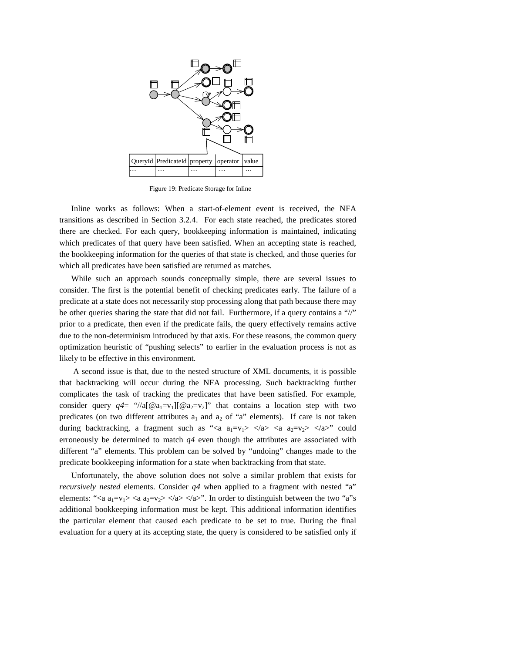

Figure 19: Predicate Storage for Inline

Inline works as follows: When a start-of-element event is received, the NFA transitions as described in Section 3.2.4. For each state reached, the predicates stored there are checked. For each query, bookkeeping information is maintained, indicating which predicates of that query have been satisfied. When an accepting state is reached, the bookkeeping information for the queries of that state is checked, and those queries for which all predicates have been satisfied are returned as matches.

While such an approach sounds conceptually simple, there are several issues to consider. The first is the potential benefit of checking predicates early. The failure of a predicate at a state does not necessarily stop processing along that path because there may be other queries sharing the state that did not fail. Furthermore, if a query contains a "//" prior to a predicate, then even if the predicate fails, the query effectively remains active due to the non-determinism introduced by that axis. For these reasons, the common query optimization heuristic of "pushing selects" to earlier in the evaluation process is not as likely to be effective in this environment.

 A second issue is that, due to the nested structure of XML documents, it is possible that backtracking will occur during the NFA processing. Such backtracking further complicates the task of tracking the predicates that have been satisfied. For example, consider query  $q4 = \frac{1}{2} \left[ \frac{\omega_{a1} - \nu_1}{\omega_{a2} - \nu_2} \right]$  that contains a location step with two predicates (on two different attributes  $a_1$  and  $a_2$  of "a" elements). If care is not taken during backtracking, a fragment such as " $\langle a \rangle$  a<sub>1</sub>=v<sub>1</sub>>  $\langle a \rangle$   $\langle a \rangle$  a<sub>2</sub>=v<sub>2</sub>>  $\langle a \rangle$ " could erroneously be determined to match *q4* even though the attributes are associated with different "a" elements. This problem can be solved by "undoing" changes made to the predicate bookkeeping information for a state when backtracking from that state.

Unfortunately, the above solution does not solve a similar problem that exists for *recursively nested* elements. Consider  $q4$  when applied to a fragment with nested "a" elements: " $\langle a_{1} = v_{1} \rangle \langle a_{2} = v_{2} \rangle \langle a_{2} \rangle \langle a_{3} \rangle$ ". In order to distinguish between the two "a"s additional bookkeeping information must be kept. This additional information identifies the particular element that caused each predicate to be set to true. During the final evaluation for a query at its accepting state, the query is considered to be satisfied only if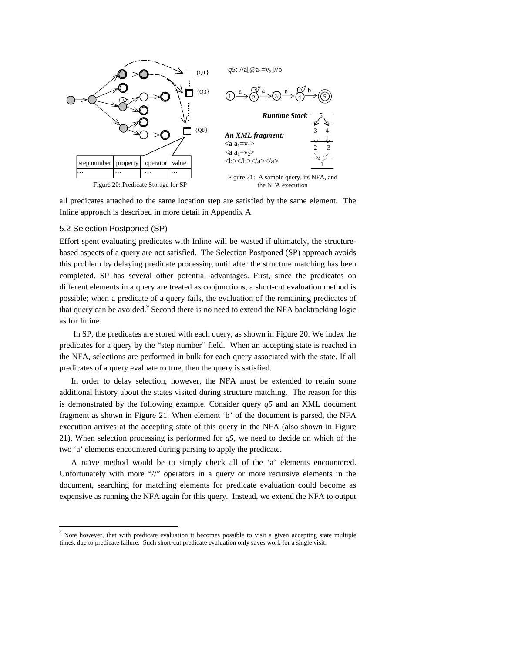

all predicates attached to the same location step are satisfied by the same element. The Inline approach is described in more detail in Appendix A.

#### 5.2 Selection Postponed (SP)

Effort spent evaluating predicates with Inline will be wasted if ultimately, the structurebased aspects of a query are not satisfied. The Selection Postponed (SP) approach avoids this problem by delaying predicate processing until after the structure matching has been completed. SP has several other potential advantages. First, since the predicates on different elements in a query are treated as conjunctions, a short-cut evaluation method is possible; when a predicate of a query fails, the evaluation of the remaining predicates of that query can be avoided.<sup>9</sup> Second there is no need to extend the NFA backtracking logic as for Inline.

 In SP, the predicates are stored with each query, as shown in Figure 20. We index the predicates for a query by the "step number" field. When an accepting state is reached in the NFA, selections are performed in bulk for each query associated with the state. If all predicates of a query evaluate to true, then the query is satisfied.

In order to delay selection, however, the NFA must be extended to retain some additional history about the states visited during structure matching. The reason for this is demonstrated by the following example. Consider query *q5* and an XML document fragment as shown in Figure 21. When element 'b' of the document is parsed, the NFA execution arrives at the accepting state of this query in the NFA (also shown in Figure 21). When selection processing is performed for *q5*, we need to decide on which of the two 'a' elements encountered during parsing to apply the predicate.

A naïve method would be to simply check all of the 'a' elements encountered. Unfortunately with more "//" operators in a query or more recursive elements in the document, searching for matching elements for predicate evaluation could become as expensive as running the NFA again for this query. Instead, we extend the NFA to output

<sup>&</sup>lt;sup>9</sup><br>Note however, that with predicate evaluation it becomes possible to visit a given accepting state multiple times, due to predicate failure. Such short-cut predicate evaluation only saves work for a single visit.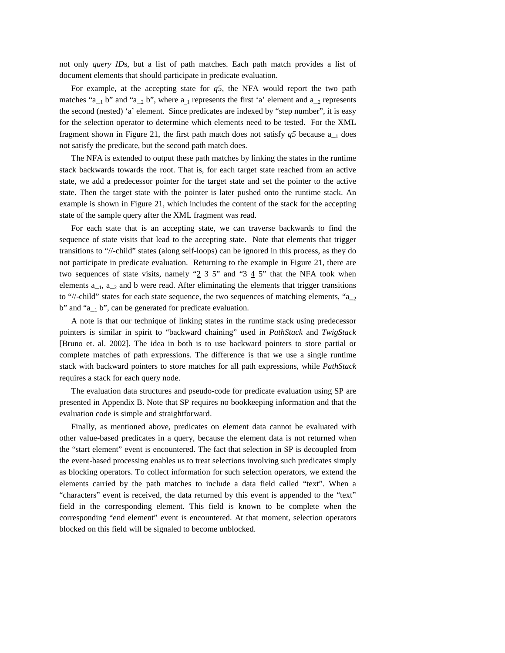not only *query ID*s, but a list of path matches. Each path match provides a list of document elements that should participate in predicate evaluation.

For example, at the accepting state for  $q5$ , the NFA would report the two path matches "a<sub>-1</sub> b" and "a<sub>-2</sub> b", where a<sub>1</sub> represents the first 'a' element and a<sub>-2</sub> represents the second (nested) 'a' element. Since predicates are indexed by "step number", it is easy for the selection operator to determine which elements need to be tested. For the XML fragment shown in Figure 21, the first path match does not satisfy  $q5$  because  $a_{-1}$  does not satisfy the predicate, but the second path match does.

The NFA is extended to output these path matches by linking the states in the runtime stack backwards towards the root. That is, for each target state reached from an active state, we add a predecessor pointer for the target state and set the pointer to the active state. Then the target state with the pointer is later pushed onto the runtime stack. An example is shown in Figure 21, which includes the content of the stack for the accepting state of the sample query after the XML fragment was read.

For each state that is an accepting state, we can traverse backwards to find the sequence of state visits that lead to the accepting state. Note that elements that trigger transitions to "//-child" states (along self-loops) can be ignored in this process, as they do not participate in predicate evaluation. Returning to the example in Figure 21, there are two sequences of state visits, namely " $2 \overline{3}$  5" and " $3 \overline{4}$  5" that the NFA took when elements  $a_{-1}$ ,  $a_{-2}$  and b were read. After eliminating the elements that trigger transitions to "//-child" states for each state sequence, the two sequences of matching elements, " $a_{2}$ " b" and " $a_{-1}$  b", can be generated for predicate evaluation.

A note is that our technique of linking states in the runtime stack using predecessor pointers is similar in spirit to "backward chaining" used in *PathStack* and *TwigStack* [Bruno et. al. 2002]. The idea in both is to use backward pointers to store partial or complete matches of path expressions. The difference is that we use a single runtime stack with backward pointers to store matches for all path expressions, while *PathStack* requires a stack for each query node.

The evaluation data structures and pseudo-code for predicate evaluation using SP are presented in Appendix B. Note that SP requires no bookkeeping information and that the evaluation code is simple and straightforward.

Finally, as mentioned above, predicates on element data cannot be evaluated with other value-based predicates in a query, because the element data is not returned when the "start element" event is encountered. The fact that selection in SP is decoupled from the event-based processing enables us to treat selections involving such predicates simply as blocking operators. To collect information for such selection operators, we extend the elements carried by the path matches to include a data field called "text". When a "characters" event is received, the data returned by this event is appended to the "text" field in the corresponding element. This field is known to be complete when the corresponding "end element" event is encountered. At that moment, selection operators blocked on this field will be signaled to become unblocked.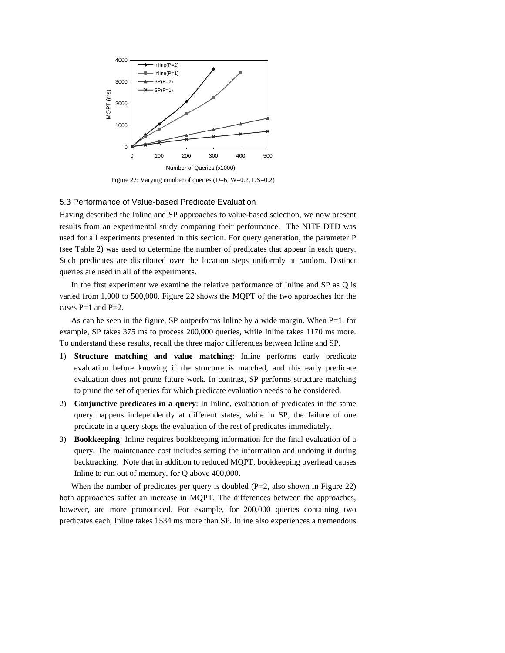

Figure 22: Varying number of queries (D=6, W=0.2, DS=0.2)

#### 5.3 Performance of Value-based Predicate Evaluation

Having described the Inline and SP approaches to value-based selection, we now present results from an experimental study comparing their performance. The NITF DTD was used for all experiments presented in this section. For query generation, the parameter P (see Table 2) was used to determine the number of predicates that appear in each query. Such predicates are distributed over the location steps uniformly at random. Distinct queries are used in all of the experiments.

In the first experiment we examine the relative performance of Inline and SP as Q is varied from 1,000 to 500,000. Figure 22 shows the MQPT of the two approaches for the cases P=1 and P=2.

As can be seen in the figure, SP outperforms Inline by a wide margin. When P=1, for example, SP takes 375 ms to process 200,000 queries, while Inline takes 1170 ms more. To understand these results, recall the three major differences between Inline and SP.

- 1) **Structure matching and value matching**: Inline performs early predicate evaluation before knowing if the structure is matched, and this early predicate evaluation does not prune future work. In contrast, SP performs structure matching to prune the set of queries for which predicate evaluation needs to be considered.
- 2) **Conjunctive predicates in a query**: In Inline, evaluation of predicates in the same query happens independently at different states, while in SP, the failure of one predicate in a query stops the evaluation of the rest of predicates immediately.
- 3) **Bookkeeping**: Inline requires bookkeeping information for the final evaluation of a query. The maintenance cost includes setting the information and undoing it during backtracking. Note that in addition to reduced MQPT, bookkeeping overhead causes Inline to run out of memory, for Q above 400,000.

When the number of predicates per query is doubled  $(P=2,$  also shown in Figure 22) both approaches suffer an increase in MQPT. The differences between the approaches, however, are more pronounced. For example, for 200,000 queries containing two predicates each, Inline takes 1534 ms more than SP. Inline also experiences a tremendous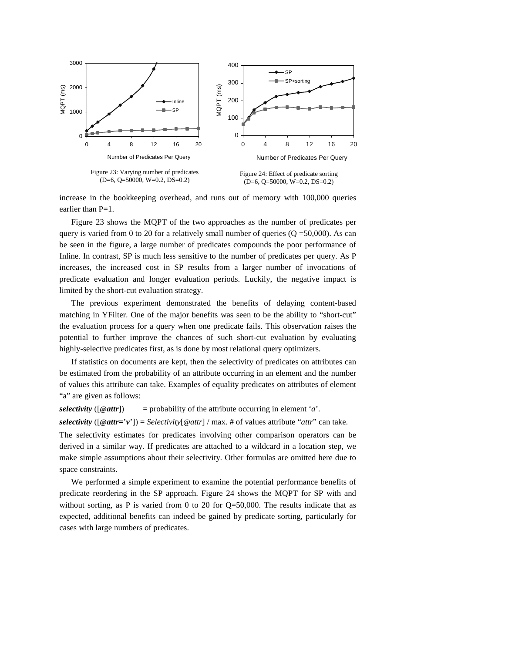

increase in the bookkeeping overhead, and runs out of memory with 100,000 queries earlier than P=1.

Figure 23 shows the MQPT of the two approaches as the number of predicates per query is varied from 0 to 20 for a relatively small number of queries  $(Q = 50,000)$ . As can be seen in the figure, a large number of predicates compounds the poor performance of Inline. In contrast, SP is much less sensitive to the number of predicates per query. As P increases, the increased cost in SP results from a larger number of invocations of predicate evaluation and longer evaluation periods. Luckily, the negative impact is limited by the short-cut evaluation strategy.

The previous experiment demonstrated the benefits of delaying content-based matching in YFilter. One of the major benefits was seen to be the ability to "short-cut" the evaluation process for a query when one predicate fails. This observation raises the potential to further improve the chances of such short-cut evaluation by evaluating highly-selective predicates first, as is done by most relational query optimizers.

If statistics on documents are kept, then the selectivity of predicates on attributes can be estimated from the probability of an attribute occurring in an element and the number of values this attribute can take. Examples of equality predicates on attributes of element "a" are given as follows:

*selectivity* ( $[@attr]$ ) = probability of the attribute occurring in element '*a*'.

*selectivity* ( $[@attr='v']$ ) = *Selectivity*[ $@attr$ ] / max. # of values attribute "*attr*" can take.

The selectivity estimates for predicates involving other comparison operators can be derived in a similar way. If predicates are attached to a wildcard in a location step, we make simple assumptions about their selectivity. Other formulas are omitted here due to space constraints.

We performed a simple experiment to examine the potential performance benefits of predicate reordering in the SP approach. Figure 24 shows the MQPT for SP with and without sorting, as P is varied from 0 to 20 for  $Q=50,000$ . The results indicate that as expected, additional benefits can indeed be gained by predicate sorting, particularly for cases with large numbers of predicates.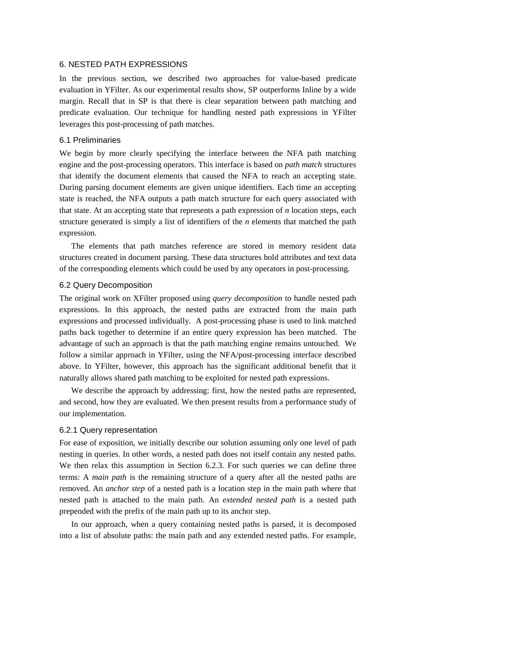## 6. NESTED PATH EXPRESSIONS

In the previous section, we described two approaches for value-based predicate evaluation in YFilter. As our experimental results show, SP outperforms Inline by a wide margin. Recall that in SP is that there is clear separation between path matching and predicate evaluation. Our technique for handling nested path expressions in YFilter leverages this post-processing of path matches.

## 6.1 Preliminaries

We begin by more clearly specifying the interface between the NFA path matching engine and the post-processing operators. This interface is based on *path match* structures that identify the document elements that caused the NFA to reach an accepting state. During parsing document elements are given unique identifiers. Each time an accepting state is reached, the NFA outputs a path match structure for each query associated with that state. At an accepting state that represents a path expression of *n* location steps, each structure generated is simply a list of identifiers of the *n* elements that matched the path expression.

The elements that path matches reference are stored in memory resident data structures created in document parsing. These data structures hold attributes and text data of the corresponding elements which could be used by any operators in post-processing.

## 6.2 Query Decomposition

The original work on XFilter proposed using *query decomposition* to handle nested path expressions. In this approach, the nested paths are extracted from the main path expressions and processed individually. A post-processing phase is used to link matched paths back together to determine if an entire query expression has been matched. The advantage of such an approach is that the path matching engine remains untouched. We follow a similar approach in YFilter, using the NFA/post-processing interface described above. In YFilter, however, this approach has the significant additional benefit that it naturally allows shared path matching to be exploited for nested path expressions.

We describe the approach by addressing: first, how the nested paths are represented, and second, how they are evaluated. We then present results from a performance study of our implementation.

#### 6.2.1 Query representation

For ease of exposition, we initially describe our solution assuming only one level of path nesting in queries. In other words, a nested path does not itself contain any nested paths. We then relax this assumption in Section 6.2.3. For such queries we can define three terms: A *main path* is the remaining structure of a query after all the nested paths are removed. An *anchor step* of a nested path is a location step in the main path where that nested path is attached to the main path. An *extended nested path* is a nested path prepended with the prefix of the main path up to its anchor step.

In our approach, when a query containing nested paths is parsed, it is decomposed into a list of absolute paths: the main path and any extended nested paths. For example,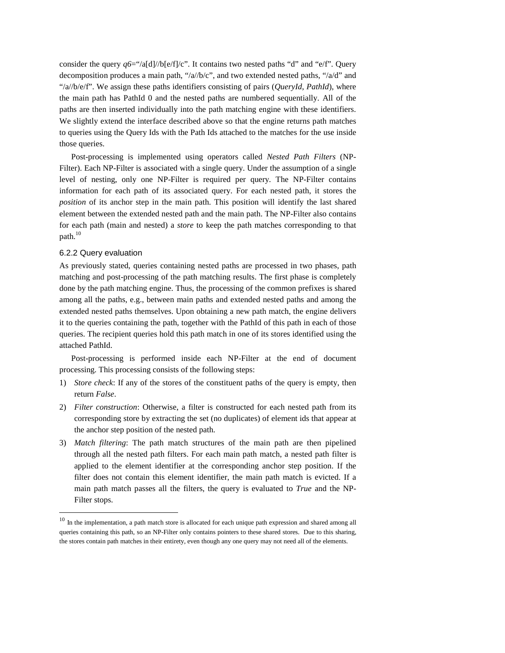consider the query  $q6=$ "/a[d]//b[e/f]/c". It contains two nested paths "d" and "e/f". Query decomposition produces a main path, "/a//b/c", and two extended nested paths, "/a/d" and "/a//b/e/f". We assign these paths identifiers consisting of pairs (*QueryId*, *PathId*), where the main path has PathId 0 and the nested paths are numbered sequentially. All of the paths are then inserted individually into the path matching engine with these identifiers. We slightly extend the interface described above so that the engine returns path matches to queries using the Query Ids with the Path Ids attached to the matches for the use inside those queries.

Post-processing is implemented using operators called *Nested Path Filters* (NP-Filter). Each NP-Filter is associated with a single query. Under the assumption of a single level of nesting, only one NP-Filter is required per query. The NP-Filter contains information for each path of its associated query. For each nested path, it stores the *position* of its anchor step in the main path. This position will identify the last shared element between the extended nested path and the main path. The NP-Filter also contains for each path (main and nested) a *store* to keep the path matches corresponding to that path.<sup>10</sup>

## 6.2.2 Query evaluation

 $\overline{a}$ 

As previously stated, queries containing nested paths are processed in two phases, path matching and post-processing of the path matching results. The first phase is completely done by the path matching engine. Thus, the processing of the common prefixes is shared among all the paths, e.g., between main paths and extended nested paths and among the extended nested paths themselves. Upon obtaining a new path match, the engine delivers it to the queries containing the path, together with the PathId of this path in each of those queries. The recipient queries hold this path match in one of its stores identified using the attached PathId.

Post-processing is performed inside each NP-Filter at the end of document processing. This processing consists of the following steps:

- 1) *Store check*: If any of the stores of the constituent paths of the query is empty, then return *False*.
- 2) *Filter construction*: Otherwise, a filter is constructed for each nested path from its corresponding store by extracting the set (no duplicates) of element ids that appear at the anchor step position of the nested path.
- 3) *Match filtering*: The path match structures of the main path are then pipelined through all the nested path filters. For each main path match, a nested path filter is applied to the element identifier at the corresponding anchor step position. If the filter does not contain this element identifier, the main path match is evicted. If a main path match passes all the filters, the query is evaluated to *True* and the NP-Filter stops.

<sup>&</sup>lt;sup>10</sup> In the implementation, a path match store is allocated for each unique path expression and shared among all queries containing this path, so an NP-Filter only contains pointers to these shared stores. Due to this sharing, the stores contain path matches in their entirety, even though any one query may not need all of the elements.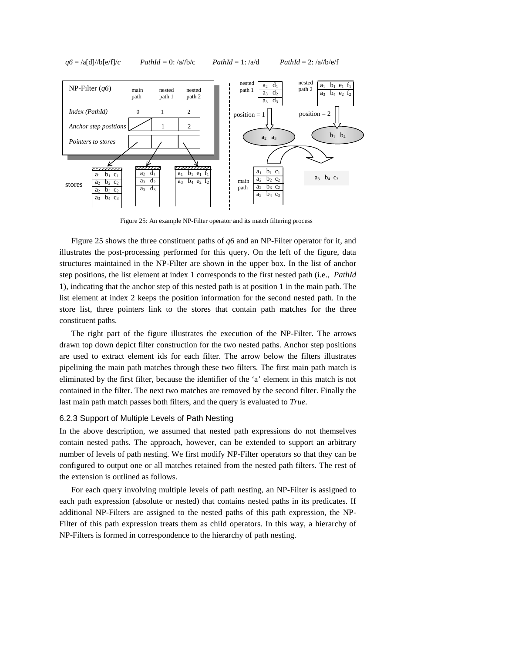

Figure 25: An example NP-Filter operator and its match filtering process

Figure 25 shows the three constituent paths of *q6* and an NP-Filter operator for it, and illustrates the post-processing performed for this query. On the left of the figure, data structures maintained in the NP-Filter are shown in the upper box. In the list of anchor step positions, the list element at index 1 corresponds to the first nested path (i.e., *PathId* 1), indicating that the anchor step of this nested path is at position 1 in the main path. The list element at index 2 keeps the position information for the second nested path. In the store list, three pointers link to the stores that contain path matches for the three constituent paths.

The right part of the figure illustrates the execution of the NP-Filter. The arrows drawn top down depict filter construction for the two nested paths. Anchor step positions are used to extract element ids for each filter. The arrow below the filters illustrates pipelining the main path matches through these two filters. The first main path match is eliminated by the first filter, because the identifier of the 'a' element in this match is not contained in the filter. The next two matches are removed by the second filter. Finally the last main path match passes both filters, and the query is evaluated to *True*.

## 6.2.3 Support of Multiple Levels of Path Nesting

In the above description, we assumed that nested path expressions do not themselves contain nested paths. The approach, however, can be extended to support an arbitrary number of levels of path nesting. We first modify NP-Filter operators so that they can be configured to output one or all matches retained from the nested path filters. The rest of the extension is outlined as follows.

For each query involving multiple levels of path nesting, an NP-Filter is assigned to each path expression (absolute or nested) that contains nested paths in its predicates. If additional NP-Filters are assigned to the nested paths of this path expression, the NP-Filter of this path expression treats them as child operators. In this way, a hierarchy of NP-Filters is formed in correspondence to the hierarchy of path nesting.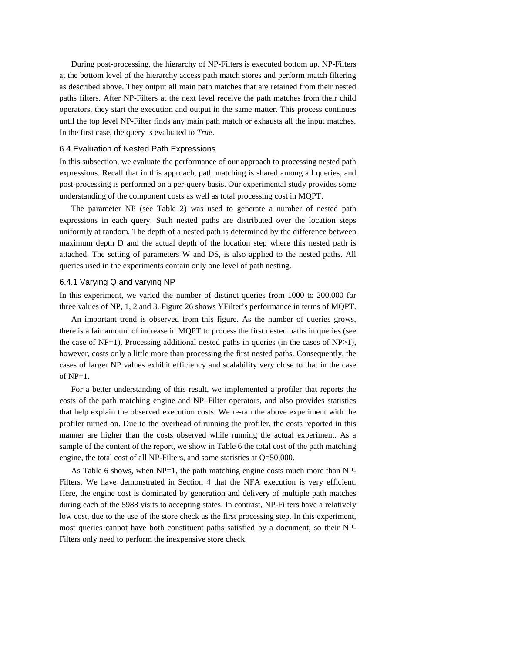During post-processing, the hierarchy of NP-Filters is executed bottom up. NP-Filters at the bottom level of the hierarchy access path match stores and perform match filtering as described above. They output all main path matches that are retained from their nested paths filters. After NP-Filters at the next level receive the path matches from their child operators, they start the execution and output in the same matter. This process continues until the top level NP-Filter finds any main path match or exhausts all the input matches. In the first case, the query is evaluated to *True*.

## 6.4 Evaluation of Nested Path Expressions

In this subsection, we evaluate the performance of our approach to processing nested path expressions. Recall that in this approach, path matching is shared among all queries, and post-processing is performed on a per-query basis. Our experimental study provides some understanding of the component costs as well as total processing cost in MQPT.

The parameter NP (see Table 2) was used to generate a number of nested path expressions in each query. Such nested paths are distributed over the location steps uniformly at random. The depth of a nested path is determined by the difference between maximum depth D and the actual depth of the location step where this nested path is attached. The setting of parameters W and DS, is also applied to the nested paths. All queries used in the experiments contain only one level of path nesting.

## 6.4.1 Varying Q and varying NP

In this experiment, we varied the number of distinct queries from 1000 to 200,000 for three values of NP, 1, 2 and 3. Figure 26 shows YFilter's performance in terms of MQPT.

An important trend is observed from this figure. As the number of queries grows, there is a fair amount of increase in MQPT to process the first nested paths in queries (see the case of  $NP=1$ ). Processing additional nested paths in queries (in the cases of  $NP>1$ ), however, costs only a little more than processing the first nested paths. Consequently, the cases of larger NP values exhibit efficiency and scalability very close to that in the case of NP=1.

For a better understanding of this result, we implemented a profiler that reports the costs of the path matching engine and NP–Filter operators, and also provides statistics that help explain the observed execution costs. We re-ran the above experiment with the profiler turned on. Due to the overhead of running the profiler, the costs reported in this manner are higher than the costs observed while running the actual experiment. As a sample of the content of the report, we show in Table 6 the total cost of the path matching engine, the total cost of all NP-Filters, and some statistics at Q=50,000.

As Table 6 shows, when  $NP=1$ , the path matching engine costs much more than  $NP-$ Filters. We have demonstrated in Section 4 that the NFA execution is very efficient. Here, the engine cost is dominated by generation and delivery of multiple path matches during each of the 5988 visits to accepting states. In contrast, NP-Filters have a relatively low cost, due to the use of the store check as the first processing step. In this experiment, most queries cannot have both constituent paths satisfied by a document, so their NP-Filters only need to perform the inexpensive store check.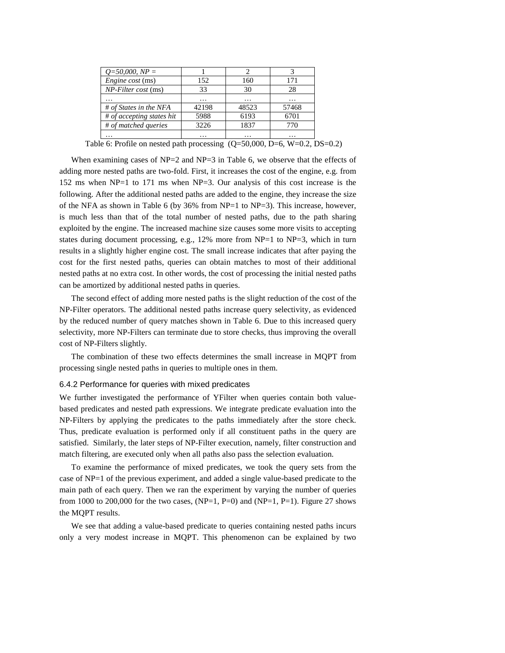| $Q=50,000, NP=$              |          |          |          |
|------------------------------|----------|----------|----------|
| <i>Engine cost</i> (ms)      | 152      | 160      | 171      |
| $NP\text{-}Filter cost$ (ms) | 33       | 30       | 28       |
| $\cdot\cdot\cdot$            | $\cdots$ | $\cdots$ | $\cdots$ |
| # of States in the NFA       | 42198    | 48523    | 57468    |
| # of accepting states hit    | 5988     | 6193     | 6701     |
| # of matched queries         | 3226     | 1837     | 770      |
| .                            | .        |          |          |

Table 6: Profile on nested path processing (Q=50,000, D=6, W=0.2, DS=0.2)

When examining cases of  $NP=2$  and  $NP=3$  in Table 6, we observe that the effects of adding more nested paths are two-fold. First, it increases the cost of the engine, e.g. from 152 ms when NP=1 to 171 ms when NP=3. Our analysis of this cost increase is the following. After the additional nested paths are added to the engine, they increase the size of the NFA as shown in Table 6 (by 36% from NP=1 to NP=3). This increase, however, is much less than that of the total number of nested paths, due to the path sharing exploited by the engine. The increased machine size causes some more visits to accepting states during document processing, e.g., 12% more from NP=1 to NP=3, which in turn results in a slightly higher engine cost. The small increase indicates that after paying the cost for the first nested paths, queries can obtain matches to most of their additional nested paths at no extra cost. In other words, the cost of processing the initial nested paths can be amortized by additional nested paths in queries.

The second effect of adding more nested paths is the slight reduction of the cost of the NP-Filter operators. The additional nested paths increase query selectivity, as evidenced by the reduced number of query matches shown in Table 6. Due to this increased query selectivity, more NP-Filters can terminate due to store checks, thus improving the overall cost of NP-Filters slightly.

The combination of these two effects determines the small increase in MQPT from processing single nested paths in queries to multiple ones in them.

#### 6.4.2 Performance for queries with mixed predicates

We further investigated the performance of YFilter when queries contain both valuebased predicates and nested path expressions. We integrate predicate evaluation into the NP-Filters by applying the predicates to the paths immediately after the store check. Thus, predicate evaluation is performed only if all constituent paths in the query are satisfied. Similarly, the later steps of NP-Filter execution, namely, filter construction and match filtering, are executed only when all paths also pass the selection evaluation.

To examine the performance of mixed predicates, we took the query sets from the case of NP=1 of the previous experiment, and added a single value-based predicate to the main path of each query. Then we ran the experiment by varying the number of queries from 1000 to 200,000 for the two cases,  $(NP=1, P=0)$  and  $(NP=1, P=1)$ . Figure 27 shows the MQPT results.

We see that adding a value-based predicate to queries containing nested paths incurs only a very modest increase in MQPT. This phenomenon can be explained by two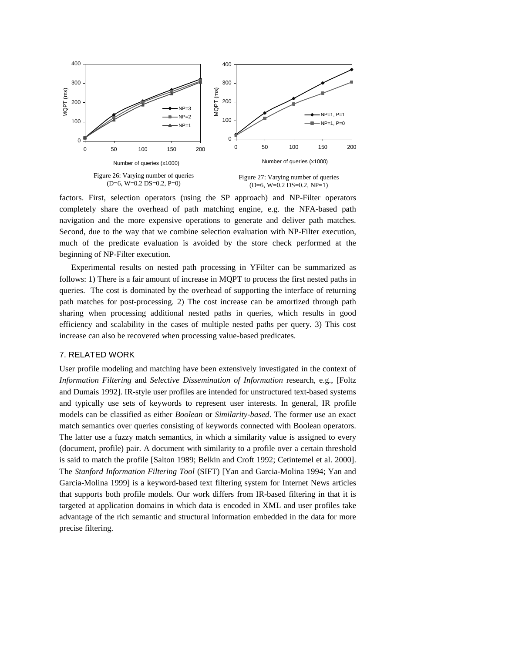

factors. First, selection operators (using the SP approach) and NP-Filter operators completely share the overhead of path matching engine, e.g. the NFA-based path navigation and the more expensive operations to generate and deliver path matches. Second, due to the way that we combine selection evaluation with NP-Filter execution, much of the predicate evaluation is avoided by the store check performed at the beginning of NP-Filter execution.

Experimental results on nested path processing in YFilter can be summarized as follows: 1) There is a fair amount of increase in MQPT to process the first nested paths in queries. The cost is dominated by the overhead of supporting the interface of returning path matches for post-processing. 2) The cost increase can be amortized through path sharing when processing additional nested paths in queries, which results in good efficiency and scalability in the cases of multiple nested paths per query. 3) This cost increase can also be recovered when processing value-based predicates.

## 7. RELATED WORK

User profile modeling and matching have been extensively investigated in the context of *Information Filtering* and *Selective Dissemination of Information* research, e.g., [Foltz and Dumais 1992]. IR-style user profiles are intended for unstructured text-based systems and typically use sets of keywords to represent user interests. In general, IR profile models can be classified as either *Boolean* or *Similarity-based*. The former use an exact match semantics over queries consisting of keywords connected with Boolean operators. The latter use a fuzzy match semantics, in which a similarity value is assigned to every (document, profile) pair. A document with similarity to a profile over a certain threshold is said to match the profile [Salton 1989; Belkin and Croft 1992; Cetintemel et al. 2000]. The *Stanford Information Filtering Tool* (SIFT) [Yan and Garcia-Molina 1994; Yan and Garcia-Molina 1999] is a keyword-based text filtering system for Internet News articles that supports both profile models. Our work differs from IR-based filtering in that it is targeted at application domains in which data is encoded in XML and user profiles take advantage of the rich semantic and structural information embedded in the data for more precise filtering.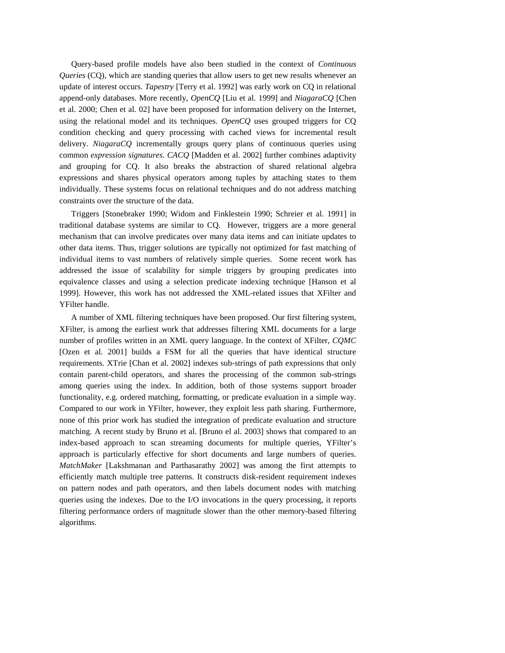Query-based profile models have also been studied in the context of *Continuous Queries* (CQ), which are standing queries that allow users to get new results whenever an update of interest occurs. *Tapestry* [Terry et al. 1992] was early work on CQ in relational append-only databases. More recently, *OpenCQ* [Liu et al. 1999] and *NiagaraCQ* [Chen et al. 2000; Chen et al. 02] have been proposed for information delivery on the Internet, using the relational model and its techniques. *OpenCQ* uses grouped triggers for CQ condition checking and query processing with cached views for incremental result delivery. *NiagaraCQ* incrementally groups query plans of continuous queries using common *expression signatures*. *CACQ* [Madden et al. 2002] further combines adaptivity and grouping for CQ. It also breaks the abstraction of shared relational algebra expressions and shares physical operators among tuples by attaching states to them individually. These systems focus on relational techniques and do not address matching constraints over the structure of the data.

Triggers [Stonebraker 1990; Widom and Finklestein 1990; Schreier et al. 1991] in traditional database systems are similar to CQ. However, triggers are a more general mechanism that can involve predicates over many data items and can initiate updates to other data items. Thus, trigger solutions are typically not optimized for fast matching of individual items to vast numbers of relatively simple queries. Some recent work has addressed the issue of scalability for simple triggers by grouping predicates into equivalence classes and using a selection predicate indexing technique [Hanson et al 1999]. However, this work has not addressed the XML-related issues that XFilter and YFilter handle.

A number of XML filtering techniques have been proposed. Our first filtering system, XFilter, is among the earliest work that addresses filtering XML documents for a large number of profiles written in an XML query language. In the context of XFilter, *CQMC* [Ozen et al. 2001] builds a FSM for all the queries that have identical structure requirements. XTrie [Chan et al. 2002] indexes sub-strings of path expressions that only contain parent-child operators, and shares the processing of the common sub-strings among queries using the index. In addition, both of those systems support broader functionality, e.g. ordered matching, formatting, or predicate evaluation in a simple way. Compared to our work in YFilter, however, they exploit less path sharing. Furthermore, none of this prior work has studied the integration of predicate evaluation and structure matching. A recent study by Bruno et al. [Bruno el al. 2003] shows that compared to an index-based approach to scan streaming documents for multiple queries, YFilter's approach is particularly effective for short documents and large numbers of queries. *MatchMaker* [Lakshmanan and Parthasarathy 2002] was among the first attempts to efficiently match multiple tree patterns. It constructs disk-resident requirement indexes on pattern nodes and path operators, and then labels document nodes with matching queries using the indexes. Due to the I/O invocations in the query processing, it reports filtering performance orders of magnitude slower than the other memory-based filtering algorithms.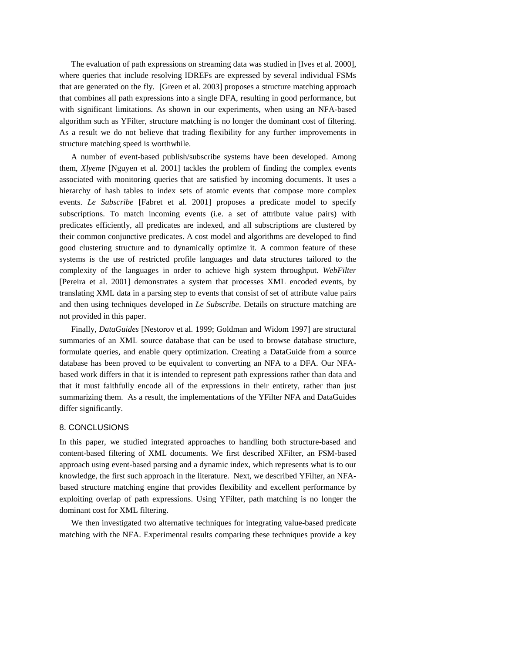The evaluation of path expressions on streaming data was studied in [Ives et al. 2000], where queries that include resolving IDREFs are expressed by several individual FSMs that are generated on the fly. [Green et al. 2003] proposes a structure matching approach that combines all path expressions into a single DFA, resulting in good performance, but with significant limitations. As shown in our experiments, when using an NFA-based algorithm such as YFilter, structure matching is no longer the dominant cost of filtering. As a result we do not believe that trading flexibility for any further improvements in structure matching speed is worthwhile.

A number of event-based publish/subscribe systems have been developed. Among them, *Xlyeme* [Nguyen et al. 2001] tackles the problem of finding the complex events associated with monitoring queries that are satisfied by incoming documents. It uses a hierarchy of hash tables to index sets of atomic events that compose more complex events. *Le Subscribe* [Fabret et al. 2001] proposes a predicate model to specify subscriptions. To match incoming events (i.e. a set of attribute value pairs) with predicates efficiently, all predicates are indexed, and all subscriptions are clustered by their common conjunctive predicates. A cost model and algorithms are developed to find good clustering structure and to dynamically optimize it. A common feature of these systems is the use of restricted profile languages and data structures tailored to the complexity of the languages in order to achieve high system throughput. *WebFilter* [Pereira et al. 2001] demonstrates a system that processes XML encoded events, by translating XML data in a parsing step to events that consist of set of attribute value pairs and then using techniques developed in *Le Subscribe*. Details on structure matching are not provided in this paper.

Finally, *DataGuides* [Nestorov et al. 1999; Goldman and Widom 1997] are structural summaries of an XML source database that can be used to browse database structure, formulate queries, and enable query optimization. Creating a DataGuide from a source database has been proved to be equivalent to converting an NFA to a DFA. Our NFAbased work differs in that it is intended to represent path expressions rather than data and that it must faithfully encode all of the expressions in their entirety, rather than just summarizing them. As a result, the implementations of the YFilter NFA and DataGuides differ significantly.

## 8. CONCLUSIONS

In this paper, we studied integrated approaches to handling both structure-based and content-based filtering of XML documents. We first described XFilter, an FSM-based approach using event-based parsing and a dynamic index, which represents what is to our knowledge, the first such approach in the literature. Next, we described YFilter, an NFAbased structure matching engine that provides flexibility and excellent performance by exploiting overlap of path expressions. Using YFilter, path matching is no longer the dominant cost for XML filtering.

We then investigated two alternative techniques for integrating value-based predicate matching with the NFA. Experimental results comparing these techniques provide a key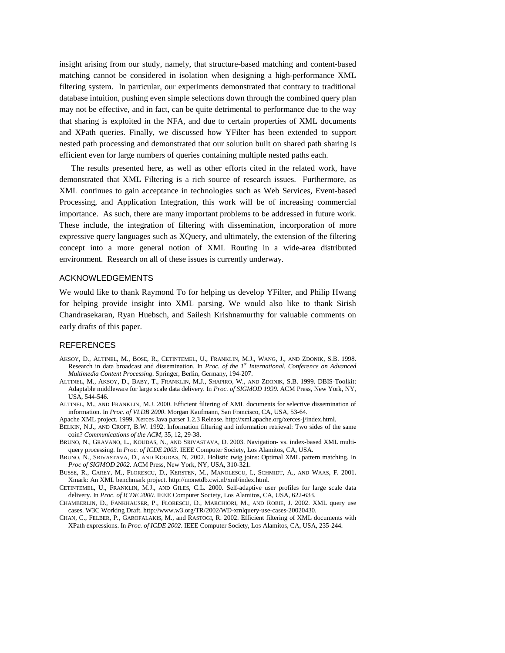insight arising from our study, namely, that structure-based matching and content-based matching cannot be considered in isolation when designing a high-performance XML filtering system. In particular, our experiments demonstrated that contrary to traditional database intuition, pushing even simple selections down through the combined query plan may not be effective, and in fact, can be quite detrimental to performance due to the way that sharing is exploited in the NFA, and due to certain properties of XML documents and XPath queries. Finally, we discussed how YFilter has been extended to support nested path processing and demonstrated that our solution built on shared path sharing is efficient even for large numbers of queries containing multiple nested paths each.

The results presented here, as well as other efforts cited in the related work, have demonstrated that XML Filtering is a rich source of research issues. Furthermore, as XML continues to gain acceptance in technologies such as Web Services, Event-based Processing, and Application Integration, this work will be of increasing commercial importance. As such, there are many important problems to be addressed in future work. These include, the integration of filtering with dissemination, incorporation of more expressive query languages such as XQuery, and ultimately, the extension of the filtering concept into a more general notion of XML Routing in a wide-area distributed environment. Research on all of these issues is currently underway.

#### ACKNOWLEDGEMENTS

We would like to thank Raymond To for helping us develop YFilter, and Philip Hwang for helping provide insight into XML parsing. We would also like to thank Sirish Chandrasekaran, Ryan Huebsch, and Sailesh Krishnamurthy for valuable comments on early drafts of this paper.

#### REFERENCES

- AKSOY, D., ALTINEL, M., BOSE, R., CETINTEMEL, U., FRANKLIN, M.J., WANG, J., AND ZDONIK, S.B. 1998. Research in data broadcast and dissemination. In *Proc. of the 1st International. Conference on Advanced Multimedia Content Processing*. Springer, Berlin, Germany, 194-207.
- ALTINEL, M., AKSOY, D., BABY, T., FRANKLIN, M.J., SHAPIRO, W., AND ZDONIK, S.B. 1999. DBIS-Toolkit: Adaptable middleware for large scale data delivery. In *Proc. of SIGMOD 1999*. ACM Press, New York, NY, USA, 544-546.
- ALTINEL, M., AND FRANKLIN, M.J. 2000. Efficient filtering of XML documents for selective dissemination of information. In *Proc. of VLDB 2000*. Morgan Kaufmann, San Francisco, CA, USA, 53-64.
- Apache XML project. 1999. Xerces Java parser 1.2.3 Release. http://xml.apache.org/xerces-j/index.html.
- BELKIN, N.J., AND CROFT, B.W. 1992. Information filtering and information retrieval: Two sides of the same coin? *Communications of the ACM*, 35, 12, 29-38.
- BRUNO, N., GRAVANO, L., KOUDAS, N., AND SRIVASTAVA, D. 2003. Navigation- vs. index-based XML multiquery processing. In *Proc. of ICDE 2003*. IEEE Computer Society, Los Alamitos, CA, USA.
- BRUNO, N., SRIVASTAVA, D., AND KOUDAS, N. 2002. Holistic twig joins: Optimal XML pattern matching. In *Proc of SIGMOD 2002*. ACM Press, New York, NY, USA, 310-321.
- BUSSE, R., CAREY, M., FLORESCU, D., KERSTEN, M., MANOLESCU, I., SCHMIDT, A., AND WAAS, F. 2001. Xmark: An XML benchmark project. http://monetdb.cwi.nl/xml/index.html.
- CETINTEMEL, U., FRANKLIN, M.J., AND GILES, C.L. 2000. Self-adaptive user profiles for large scale data delivery. In *Proc. of ICDE 2000.* IEEE Computer Society, Los Alamitos, CA, USA, 622-633.
- CHAMBERLIN, D., FANKHAUSER, P., FLORESCU, D., MARCHIORI, M., AND ROBIE, J. 2002. XML query use cases. W3C Working Draft. http://www.w3.org/TR/2002/WD-xmlquery-use-cases-20020430.
- CHAN, C., FELBER, P., GAROFALAKIS, M., and RASTOGI, R. 2002. Efficient filtering of XML documents with XPath expressions. In *Proc. of ICDE 2002*. IEEE Computer Society, Los Alamitos, CA, USA, 235-244.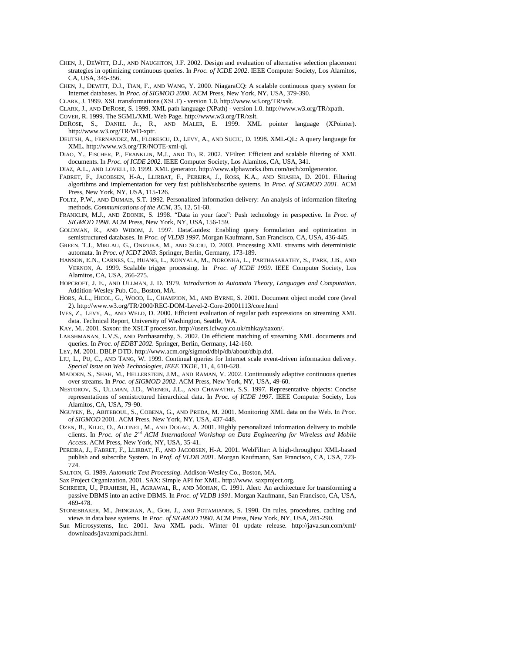- CHEN, J., DEWITT, D.J., AND NAUGHTON, J.F. 2002. Design and evaluation of alternative selection placement strategies in optimizing continuous queries. In *Proc. of ICDE 2002*. IEEE Computer Society, Los Alamitos, CA, USA, 345-356.
- CHEN, J., DEWITT, D.J., TIAN, F., AND WANG, Y. 2000. NiagaraCQ: A scalable continuous query system for Internet databases. In *Proc. of SIGMOD 2000*. ACM Press, New York, NY, USA, 379-390.
- CLARK, J. 1999. XSL transformations (XSLT) version 1.0. http://www.w3.org/TR/xslt.
- CLARK, J., AND DEROSE, S. 1999. XML path language (XPath) version 1.0. http://www.w3.org/TR/xpath.
- COVER, R. 1999. The SGML/XML Web Page. http://www.w3.org/TR/xslt.
- DEROSE, S., DANIEL Jr., R., AND MALER, E. 1999. XML pointer language (XPointer). http://www.w3.org/TR/WD-xptr.
- DEUTSH, A., FERNANDEZ, M., FLORESCU, D., LEVY, A., AND SUCIU, D. 1998. XML-QL: A query language for XML. http://www.w3.org/TR/NOTE-xml-ql.
- DIAO, Y., FISCHER, P., FRANKLIN, M.J., AND TO, R. 2002. YFilter: Efficient and scalable filtering of XML documents. In *Proc. of ICDE 2002*. IEEE Computer Society, Los Alamitos, CA, USA, 341.
- DIAZ, A.L., AND LOVELL, D. 1999. XML generator. http://www.alphaworks.ibm.com/tech/xmlgenerator.
- FABRET, F., JACOBSEN, H-A., LLIRBAT, F., PEREIRA, J., ROSS, K.A., AND SHASHA, D. 2001. Filtering algorithms and implementation for very fast publish/subscribe systems. In *Proc. of SIGMOD 2001*. ACM Press, New York, NY, USA, 115-126.
- FOLTZ, P.W., AND DUMAIS, S.T. 1992. Personalized information delivery: An analysis of information filtering methods. *Communications of the ACM*, 35, 12, 51-60.
- FRANKLIN, M.J., AND ZDONIK, S. 1998. "Data in your face": Push technology in perspective. In *Proc. of SIGMOD 1998*. ACM Press, New York, NY, USA, 156-159.
- GOLDMAN, R., AND WIDOM, J. 1997. DataGuides: Enabling query formulation and optimization in semistructured databases. In *Proc. of VLDB 1997*. Morgan Kaufmann, San Francisco, CA, USA, 436-445.
- GREEN, T.J., MIKLAU, G., ONIZUKA, M., AND SUCIU, D. 2003. Processing XML streams with deterministic automata. In *Proc. of ICDT 2003*. Springer, Berlin, Germany, 173-189.
- HANSON, E.N., CARNES, C., HUANG, L., KONYALA, M., NORONHA, L., PARTHASARATHY, S., PARK, J.B., AND VERNON, A. 1999. Scalable trigger processing. In *Proc. of ICDE 1999*. IEEE Computer Society, Los Alamitos, CA, USA, 266-275.
- HOPCROFT, J. E., AND ULLMAN, J. D. 1979. *Introduction to Automata Theory, Languages and Computation*. Addition-Wesley Pub. Co., Boston, MA.
- HORS, A.L., HICOL, G., WOOD, L., CHAMPION, M., AND BYRNE, S. 2001. Document object model core (level 2). http://www.w3.org/TR/2000/REC-DOM-Level-2-Core-20001113/core.html
- IVES, Z., LEVY, A., AND WELD, D. 2000. Efficient evaluation of regular path expressions on streaming XML data. Technical Report, University of Washington, Seattle, WA.
- KAY, M.. 2001. Saxon: the XSLT processor. http://users.iclway.co.uk/mhkay/saxon/.
- LAKSHMANAN, L.V.S., AND Parthasarathy, S. 2002. On efficient matching of streaming XML documents and queries. In *Proc. of EDBT 2002*. Springer, Berlin, Germany, 142-160.
- LEY, M. 2001. DBLP DTD. http://www.acm.org/sigmod/dblp/db/about/dblp.dtd.
- LIU, L., PU, C., AND TANG, W. 1999. Continual queries for Internet scale event-driven information delivery. *Special Issue on Web Technologies*, *IEEE TKDE*, 11, 4, 610-628.
- MADDEN, S., SHAH, M., HELLERSTEIN, J.M., AND RAMAN, V. 2002. Continuously adaptive continuous queries over streams. In *Proc. of SIGMOD 2002*. ACM Press, New York, NY, USA, 49-60.
- NESTOROV, S., ULLMAN, J.D., WIENER, J.L., AND CHAWATHE, S.S. 1997. Representative objects: Concise representations of semistrctured hierarchical data. In *Proc. of ICDE 1997*. IEEE Computer Society, Los Alamitos, CA, USA, 79-90.
- NGUYEN, B., ABITEBOUL, S., COBENA, G., AND PREDA, M. 2001. Monitoring XML data on the Web. In *Proc. of SIGMOD* 2001. ACM Press, New York, NY, USA, 437-448.
- OZEN, B., KILIC, O., ALTINEL, M., AND DOGAC, A. 2001. Highly personalized information delivery to mobile clients. In *Proc. of the 2<sup>nd</sup> ACM International Workshop on Data Engineering for Wireless and Mobile Access*. ACM Press, New York, NY, USA, 35-41.
- PEREIRA, J., FABRET, F., LLIRBAT, F., AND JACOBSEN, H-A. 2001. WebFilter: A high-throughput XML-based publish and subscribe System. In *Prof. of VLDB 2001*. Morgan Kaufmann, San Francisco, CA, USA, 723- 724.
- SALTON, G. 1989. *Automatic Text Processing*. Addison-Wesley Co., Boston, MA.
- Sax Project Organization. 2001. SAX: Simple API for XML. http://www. saxproject.org.
- SCHREIER, U., PIRAHESH, H., AGRAWAL, R., AND MOHAN, C. 1991. Alert: An architecture for transforming a passive DBMS into an active DBMS. In *Proc. of VLDB 1991*. Morgan Kaufmann, San Francisco, CA, USA, 469-478.
- STONEBRAKER, M., JHINGRAN, A., GOH, J., AND POTAMIANOS, S. 1990. On rules, procedures, caching and views in data base systems. In *Proc. of SIGMOD 1990*. ACM Press, New York, NY, USA, 281-290.
- Sun Microsystems, Inc. 2001. Java XML pack. Winter 01 update release. http://java.sun.com/xml/ downloads/javaxmlpack.html.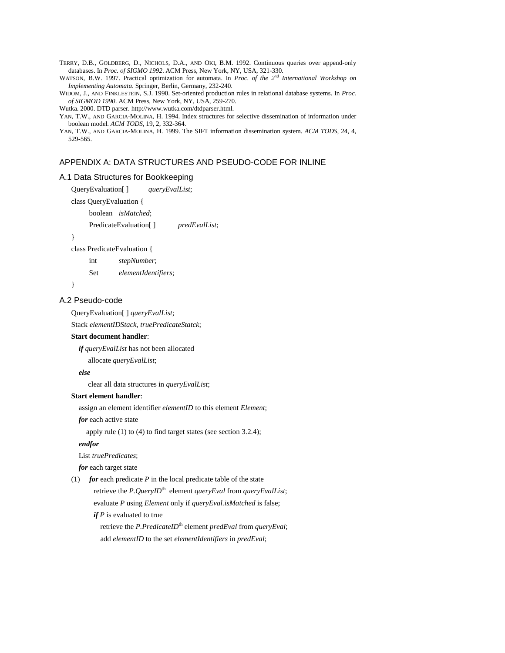TERRY, D.B., GOLDBERG, D., NICHOLS, D.A., AND OKI, B.M. 1992. Continuous queries over append-only databases. In *Proc. of SIGMO 1992*. ACM Press, New York, NY, USA, 321-330.

WATSON, B.W. 1997. Practical optimization for automata. In *Proc. of the 2nd International Workshop on Implementing Automata*. Springer, Berlin, Germany, 232-240.

WIDOM, J., AND FINKLESTEIN, S.J. 1990. Set-oriented production rules in relational database systems. In *Proc. of SIGMOD 1990*. ACM Press, New York, NY, USA, 259-270.

Wutka. 2000. DTD parser. http://www.wutka.com/dtdparser.html.

YAN, T.W., AND GARCIA-MOLINA, H. 1994. Index structures for selective dissemination of information under boolean model. *ACM TODS*, 19, 2, 332-364.

YAN, T.W., AND GARCIA-MOLINA, H. 1999. The SIFT information dissemination system. *ACM TODS*, 24, 4, 529-565.

# APPENDIX A: DATA STRUCTURES AND PSEUDO-CODE FOR INLINE

## A.1 Data Structures for Bookkeeping

QueryEvaluation[ ] *queryEvalList*;

class QueryEvaluation {

boolean *isMatched*;

PredicateEvaluation[ ] *predEvalList*;

}

class PredicateEvaluation {

 int *stepNumber*; Set *elementIdentifiers*;

}

## A.2 Pseudo-code

QueryEvaluation[ ] *queryEvalList*;

Stack *elementIDStack*, *truePredicateStatck*;

### **Start document handler**:

*if queryEvalList* has not been allocated

allocate *queryEvalList*;

#### *else*

clear all data structures in *queryEvalList*;

#### **Start element handler**:

assign an element identifier *elementID* to this element *Element*;

*for* each active state

apply rule (1) to (4) to find target states (see section 3.2.4);

## *endfor*

List *truePredicates*;

*for* each target state

- (1) *for* each predicate *P* in the local predicate table of the state
	- retrieve the *P.QueryID*th element *queryEval* from *queryEvalList*; evaluate *P* using *Element* only if *queryEval.isMatched* is false;

#### *if P* is evaluated to true

retrieve the *P.PredicateID*<sup>th</sup> element *predEval* from *queryEval*; add *elementID* to the set *elementIdentifiers* in *predEval*;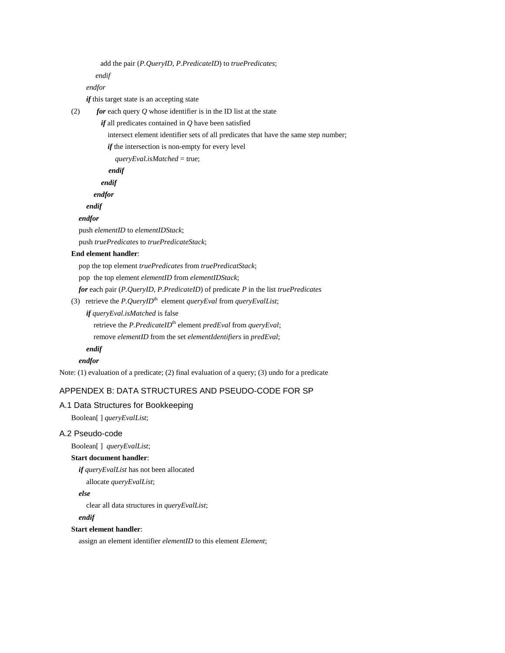add the pair (*P.QueryID*, *P.PredicateID*) to *truePredicates*; *endif* 

 *endfor* 

*if* this target state is an accepting state

(2) *for* each query *Q* whose identifier is in the ID list at the state

*if* all predicates contained in *Q* have been satisfied

intersect element identifier sets of all predicates that have the same step number;

*if* the intersection is non-empty for every level

*queryEval.isMatched* = true;

*endif* 

 *endif* 

 *endfor* 

 *endif* 

 *endfor* 

push *elementID* to *elementIDStack*;

push *truePredicates* to *truePredicateStack*;

## **End element handler**:

pop the top element *truePredicates* from *truePredicatStack*;

pop the top element *elementID* from *elementIDStack*;

*for* each pair (*P.QueryID*, *P.PredicateID*) of predicate *P* in the list *truePredicates*

(3) retrieve the *P.QueryID*th element *queryEval* from *queryEvalList*;

*if queryEval.isMatched* is false

retrieve the *P.PredicateID*<sup>th</sup> element *predEval* from *queryEval*;

remove *elementID* from the set *elementIdentifiers* in *predEval*;

 *endif* 

## *endfor*

Note: (1) evaluation of a predicate; (2) final evaluation of a query; (3) undo for a predicate

# APPENDEX B: DATA STRUCTURES AND PSEUDO-CODE FOR SP

## A.1 Data Structures for Bookkeeping

Boolean[ ] *queryEvalList*;

## A.2 Pseudo-code

Boolean[ ] *queryEvalList*;

# **Start document handler**:

*if queryEvalList* has not been allocated

allocate *queryEvalList*;

*else* 

clear all data structures in *queryEvalList*;

*endif* 

#### **Start element handler**:

assign an element identifier *elementID* to this element *Element*;